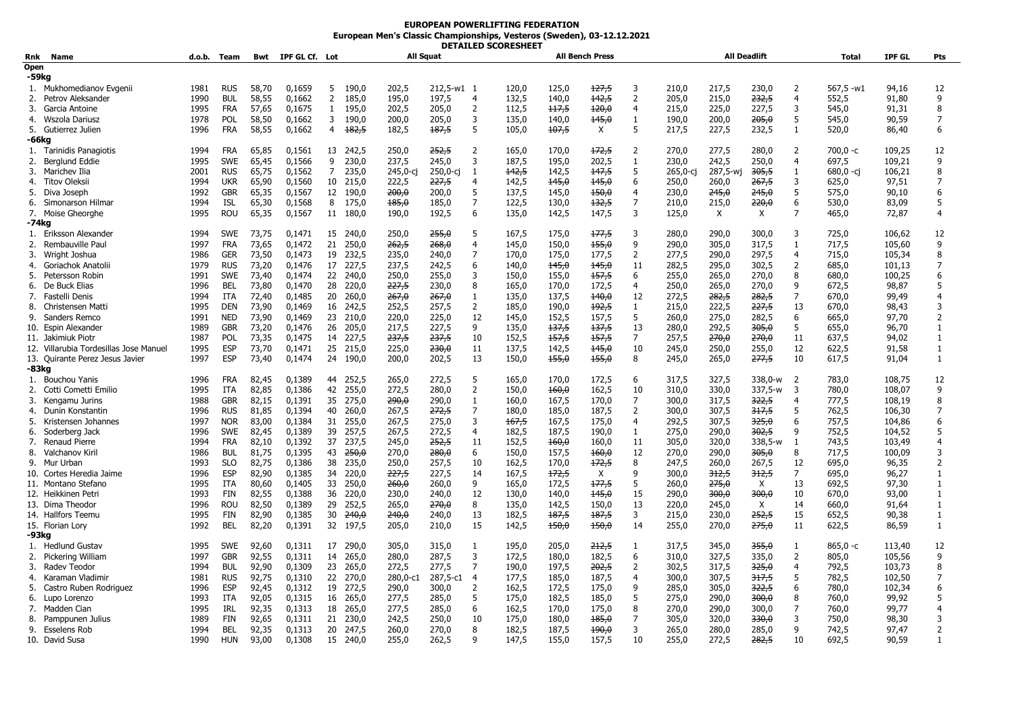## **EUROPEAN POWERLIFTING FEDERATION European Men's Classic Championships, Vesteros (Sweden), 03-12.12.2021 DETAILED SCORESHEET**

| Rnk           | Name                                   | d.o.b. Team  |                          |                | Bwt IPF GL Cf. Lot |              |                  | All Squat      |                |                | - - - - - - - - - - - - - - - - - - - - | <b>All Bench Press</b> |                |                     |                | <b>All Deadlift</b> |                  |                | <b>Total</b>   | <b>IPF GL</b>    | <b>Pts</b>          |
|---------------|----------------------------------------|--------------|--------------------------|----------------|--------------------|--------------|------------------|----------------|----------------|----------------|-----------------------------------------|------------------------|----------------|---------------------|----------------|---------------------|------------------|----------------|----------------|------------------|---------------------|
| Open<br>-59kg |                                        |              |                          |                |                    |              |                  |                |                |                |                                         |                        |                |                     |                |                     |                  |                |                |                  |                     |
| 1.            | Mukhomedianov Evgenii                  | 1981         | <b>RUS</b>               | 58,70          | 0,1659             | 5            | 190.0            | 202,5          | 212.5-w1 1     |                | 120,0                                   | 125,0                  | 127,5          | 3                   | 210,0          | 217,5               | 230,0            | $\overline{2}$ | $567,5 -w1$    | 94,16            | 12                  |
| 2.            | Petrov Aleksander                      | 1990         | <b>BUL</b>               | 58,55          | 0,1662             | 2            | 185,0            | 195,0          | 197,5          | $\overline{4}$ | 132,5                                   | 140,0                  | 142,5          | $\overline{2}$      | 205,0          | 215,0               | 232,5            | $\overline{4}$ | 552,5          | 91,80            | 9                   |
| 3.            | Garcia Antoine                         | 1995         | <b>FRA</b>               | 57,65          | 0,1675             | $\mathbf{1}$ | 195,0            | 202,5          | 205,0          | $\overline{2}$ | 112,5                                   | 117,5                  | 120,0          | 4                   | 215,0          | 225,0               | 227,5            | 3              | 545,0          | 91,31            | 8                   |
| 4.            | Wszola Dariusz                         | 1978         | <b>POL</b>               | 58,50          | 0,1662             | 3            | 190.0            | 200,0          | 205,0          | 3              | 135,0                                   | 140,0                  | 145,0          | 1                   | 190,0          | 200,0               | 205,0            | 5              | 545,0          | 90,59            | $\overline{7}$      |
|               | 5. Gutierrez Julien                    | 1996         | <b>FRA</b>               | 58,55          | 0,1662             | 4            | 182,5            | 182,5          | 187,5          | 5              | 105,0                                   | 107,5                  | X              | 5                   | 217,5          | 227,5               | 232,5            | $\mathbf{1}$   | 520,0          | 86,40            | 6                   |
| -66ka         |                                        |              |                          |                |                    |              |                  |                |                |                |                                         |                        |                |                     |                |                     |                  |                |                |                  |                     |
| 1.            | Tarinidis Panagiotis                   | 1994         | <b>FRA</b>               | 65,85          | 0,1561             | 13           | 242.5            | 250,0          | 252.5          | 2              | 165,0                                   | 170.0                  | 172,5          | $\overline{2}$      | 270.0          | 277.5               | 280,0            | $\overline{2}$ | $700.0 -c$     | 109,25           | 12                  |
| 2.            | Berglund Eddie                         | 1995         | <b>SWE</b>               | 65,45          | 0,1566             | 9            | 230,0            | 237,5          | 245,0          | 3              | 187,5                                   | 195,0                  | 202,5          | 1                   | 230,0          | 242,5               | 250,0            | $\overline{4}$ | 697,5          | 109,21           | 9                   |
| 3.            | Marichev Ilia                          | 2001         | <b>RUS</b>               | 65,75          | 0,1562             | 7            | 235,0            | 245,0-ci       | 250,0-ci       | 1              | 142,5                                   | 142.5                  | 147,5          | 5                   | 265,0-ci       | 287,5-wi            | 305,5            | $\mathbf{1}$   | $680,0 -ci$    | 106,21           | 8                   |
| 4.            | Titov Oleksii                          | 1994         | <b>UKR</b>               | 65,90          | 0,1560             | 10           | 215,0            | 222,5          | 227,5          | $\overline{4}$ | 142,5                                   | 145,0                  | 145,0          | 6                   | 250,0          | 260,0               | 267,5            | 3              | 625,0          | 97,51            | $\overline{7}$      |
| 5.            | Diva Joseph                            | 1992         | <b>GBR</b>               | 65,35          | 0,1567             | 12           | 190,0            | 200,0          | 200,0          | -5             | 137,5                                   | 145,0                  | 150,0          | $\overline{4}$      | 230,0          | 245,0               | 245,0            | 5              | 575,0          | 90,10            | 6                   |
| 6.            | Simonarson Hilmar                      | 1994         | <b>ISL</b>               | 65,30          | 0,1568             | 8            | 175,0            | 185,0          | 185,0          | $\overline{7}$ | 122,5                                   | 130,0                  | 132,5          | $\overline{7}$      | 210,0          | 215,0               | 220,0            | 6              | 530,0          | 83,09            | 5                   |
|               | 7. Moise Gheorghe                      | 1995         | <b>ROU</b>               | 65,35          | 0,1567             |              | 11 180,0         | 190,0          | 192.5          | 6              | 135,0                                   | 142,5                  | 147,5          | 3                   | 125,0          | $\times$            | X                | $\overline{7}$ | 465,0          | 72,87            | $\overline{4}$      |
| -74kg         |                                        |              |                          |                |                    |              |                  |                |                |                |                                         |                        |                |                     |                |                     |                  |                |                |                  |                     |
|               | 1. Eriksson Alexander                  | 1994         | <b>SWE</b>               | 73,75          | 0,1471             |              | 15 240.0         | 250.0          | 255,0          | -5             | 167.5                                   | 175.0                  | 177,5          | 3                   | 280.0          | 290.0               | 300.0            | 3              | 725,0          | 106,62           | 12                  |
| 2.            | Rembauville Paul                       | 1997         | <b>FRA</b>               | 73,65          | 0,1472             | 21           | 250.0            | 262,5          | 268,0          | $\overline{4}$ | 145,0                                   | 150,0                  | 155,0          | 9                   | 290,0          | 305,0               | 317,5            | 1              | 717,5          | 105,60           | q                   |
| 3.            | Wright Joshua                          | 1986         | <b>GER</b>               | 73,50          | 0,1473             | 19           | 232,5            | 235,0          | 240,0          | $\overline{7}$ | 170,0                                   | 175,0                  | 177,5          | $\overline{2}$      | 277,5          | 290,0               | 297,5            | 4              | 715,0          | 105,34           | 8<br>$\overline{7}$ |
| 4.<br>5.      | Goriachok Anatolii                     | 1979         | <b>RUS</b>               | 73,20<br>73,40 | 0,1476             | 17           | 227,5            | 237,5          | 242,5<br>255.0 | 6<br>3         | 140,0                                   | 145,0                  | 145,0          | 11                  | 282,5<br>255.0 | 295,0               | 302,5            | 2<br>8         | 685,0          | 101,13<br>100,25 |                     |
|               | Petersson Robin<br>6. De Buck Elias    | 1991<br>1996 | <b>SWE</b><br><b>BEL</b> | 73,80          | 0.1474             | 22<br>28     | 240.0<br>220.0   | 250.0<br>227,5 | 230,0          | 8              | 150.0<br>165,0                          | 155.0<br>170,0         | 157,5<br>172,5 | 6<br>$\overline{4}$ | 250,0          | 265,0<br>265,0      | 270.0<br>270.0   | 9              | 680.0<br>672,5 | 98,87            | 6<br>5              |
| 7.            | Fastelli Denis                         | 1994         | ITA                      | 72,40          | 0,1470<br>0,1485   | 20           | 260,0            | 267,0          | 267,0          | 1              | 135,0                                   | 137,5                  | $+40,0$        | 12                  | 272,5          | 282,5               | 282,5            | 7              | 670,0          | 99,49            | 4                   |
| 8.            | Christensen Matti                      | 1995         | <b>DEN</b>               | 73,90          | 0,1469             | 16           | 242,5            | 252,5          | 257,5          | $\overline{2}$ | 185,0                                   | 190,0                  | 192,5          | $\mathbf{1}$        | 215,0          | 222,5               | 227,5            | 13             | 670.0          | 98.43            | 3                   |
|               | 9. Sanders Remco                       | 1991         | <b>NED</b>               | 73,90          | 0,1469             | 23           | 210,0            | 220,0          | 225,0          | 12             | 145,0                                   | 152,5                  | 157,5          | 5                   | 260,0          | 275,0               | 282,5            | 6              | 665,0          | 97,70            | $\overline{2}$      |
|               | 10. Espin Alexander                    | 1989         | <b>GBR</b>               | 73,20          | 0,1476             | 26           | 205,0            | 217,5          | 227,5          | 9              | 135,0                                   | 137,5                  | 137,5          | 13                  | 280,0          | 292,5               | 305,0            | 5              | 655,0          | 96,70            | 1                   |
|               | 11. Jakimiuk Piotr                     | 1987         | POL                      | 73,35          | 0.1475             | 14           | 227.5            | 237,5          | 237.5          | 10             | 152.5                                   | 157.5                  | 157.5          | $\overline{7}$      | 257.5          | 270.0               | 270.0            | 11             | 637.5          | 94,02            | $\mathbf{1}$        |
|               | 12. Villarubia Tordesillas Jose Manuel | 1995         | <b>ESP</b>               | 73,70          | 0,1471             | 25           | 215,0            | 225,0          | 230,0          | 11             | 137,5                                   | 142,5                  | 145,0          | 10                  | 245,0          | 250,0               | 255,0            | 12             | 622,5          | 91,58            | 1                   |
|               | 13. Quirante Perez Jesus Javier        | 1997         | <b>ESP</b>               | 73,40          | 0,1474             | 24           | 190,0            | 200,0          | 202,5          | 13             | 150,0                                   | 155,0                  | 155,0          | 8                   | 245,0          | 265,0               | <del>277,5</del> | 10             | 617,5          | 91,04            | 1                   |
| -83kg         |                                        |              |                          |                |                    |              |                  |                |                |                |                                         |                        |                |                     |                |                     |                  |                |                |                  |                     |
| 1.            | Bouchou Yanis                          | 1996         | <b>FRA</b>               | 82,45          | 0,1389             | 44           | 252,5            | 265,0          | 272,5          | 5              | 165,0                                   | 170,0                  | 172,5          | 6                   | 317,5          | 327,5               | 338,0-w          | $\overline{2}$ | 783,0          | 108,75           | 12                  |
| 2.            | Cotti Cometti Emilio                   | 1995         | <b>ITA</b>               | 82,85          | 0,1386             | 42           | 255,0            | 272,5          | 280,0          | $\overline{2}$ | 150,0                                   | 160,0                  | 162,5          | 10                  | 310,0          | 330,0               | 337,5-w          | 3              | 780,0          | 108,07           | 9                   |
| 3.            | Kengamu Jurins                         | 1988         | <b>GBR</b>               | 82,15          | 0,1391             | 35           | 275.0            | 290,0          | 290.0          | 1              | 160.0                                   | 167,5                  | 170.0          | $\overline{7}$      | 300,0          | 317.5               | <del>322,5</del> | $\overline{4}$ | 777.5          | 108,19           | 8                   |
| 4.            | Dunin Konstantin                       | 1996         | <b>RUS</b>               | 81,85          | 0,1394             | 40           | 260,0            | 267,5          | 272,5          | $\overline{7}$ | 180,0                                   | 185,0                  | 187,5          | $\overline{2}$      | 300,0          | 307,5               | 317,5            | 5              | 762,5          | 106,30           | $\overline{7}$      |
| 5.            | Kristensen Johannes                    | 1997         | <b>NOR</b>               | 83,00          | 0,1384             | 31           | 255,0            | 267,5          | 275,0          | 3              | 167,5                                   | 167,5                  | 175,0          | 4                   | 292,5          | 307,5               | 325,0            | -6             | 757,5          | 104,86           | 6                   |
| 6.            | Soderberg Jack                         | 1996         | <b>SWE</b>               | 82,45          | 0,1389             | 39           | 257,5            | 267,5          | 272,5          | $\overline{4}$ | 182,5                                   | 187,5                  | 190,0          | 1                   | 275,0          | 290,0               | <del>302,5</del> | q              | 752,5          | 104,52           | 5                   |
| 7.            | Renaud Pierre                          | 1994         | <b>FRA</b>               | 82,10          | 0,1392             | 37           | 237,5            | 245,0          | 252,5          | 11             | 152,5                                   | 460,0                  | 160,0          | 11                  | 305,0          | 320,0               | 338,5-w          | 1              | 743,5          | 103,49           | $\overline{4}$      |
|               | 8. Valchanov Kiril                     | 1986         | <b>BUL</b>               | 81,75          | 0,1395             | 43           | <del>250.0</del> | 270,0          | 280,0          | 6              | 150,0                                   | 157,5                  | 160,0          | 12                  | 270,0          | 290,0               | <del>305.0</del> | 8              | 717,5          | 100,09           | 3                   |
| 9.            | Mur Urban                              | 1993         | <b>SLO</b>               | 82,75          | 0,1386             | 38           | 235,0            | 250,0          | 257,5          | 10             | 162,5                                   | 170.0                  | 172,5          | 8                   | 247,5          | 260,0               | 267,5            | 12             | 695.0          | 96,35            | 2                   |
|               | 10. Cortes Heredia Jaime               | 1996         | <b>ESP</b>               | 82,90          | 0,1385             | 34           | 220,0            | 227,5          | 227,5          | 14             | 167,5                                   | 172,5                  | X              | 9                   | 300,0          | 312,5               | 312,5            | $\overline{7}$ | 695,0          | 96,27            | 1                   |
|               | 11. Montano Stefano                    | 1995         | ITA                      | 80,60          | 0,1405             | 33           | 250,0            | 260,0          | 260,0          | 9              | 165,0                                   | 172,5                  | 177,5          | 5                   | 260,0          | 275,0               | X                | 13             | 692,5          | 97,30            | 1                   |
|               | 12. Heikkinen Petri                    | 1993         | <b>FIN</b>               | 82,55          | 0.1388             | 36           | 220.0            | 230,0          | 240,0          | 12             | 130.0                                   | 140,0                  | 145,0          | 15                  | 290,0          | 300,0               | 300,0            | 10             | 670.0          | 93,00            | $\mathbf{1}$        |
|               | 13. Dima Theodor                       | 1996<br>1995 | <b>ROU</b><br><b>FIN</b> | 82,50          | 0,1389             | 29<br>30     | 252,5<br>240.0   | 265,0          | 270,0          | 8<br>13        | 135,0                                   | 142,5<br>187,5         | 150,0          | 13<br>3             | 220,0          | 245,0               | X<br>252.5       | 14<br>15       | 660,0          | 91,64            | 1                   |
|               | 14. Hallfors Teemu                     | 1992         | <b>BEL</b>               | 82,90          | 0,1385             |              | 32 197,5         | 240,0          | 240.0          | 15             | 182,5<br>142,5                          | 150,0                  | 187,5<br>150,0 | 14                  | 215,0          | 230,0<br>270,0      | 275,0            | 11             | 652,5          | 90,38<br>86,59   | 1<br>$\mathbf{1}$   |
| -93kg         | 15. Florian Lory                       |              |                          | 82,20          | 0,1391             |              |                  | 205,0          | 210,0          |                |                                         |                        |                |                     | 255,0          |                     |                  |                | 622,5          |                  |                     |
|               | 1. Hedlund Gustav                      | 1995         | <b>SWE</b>               | 92,60          | 0,1311             | 17           | 290,0            | 305,0          | 315,0          | 1              | 195,0                                   | 205,0                  | 212,5          | 1                   | 317,5          | 345,0               | <del>355,0</del> | -1             | $865,0 -c$     | 113,40           | 12                  |
| 2.            | Pickering William                      | 1997         | <b>GBR</b>               | 92,55          | 0,1311             | 14           | 265,0            | 280,0          | 287,5          | 3              | 172,5                                   | 180,0                  | 182,5          | 6                   | 310,0          | 327,5               | 335,0            | 2              | 805,0          | 105,56           | 9                   |
| 3.            | Radev Teodor                           | 1994         | <b>BUL</b>               | 92,90          | 0,1309             | 23           | 265,0            | 272,5          | 277,5          | $\overline{7}$ | 190,0                                   | 197,5                  | 202,5          | $\overline{2}$      | 302,5          | 317,5               | 325,0            | $\overline{4}$ | 792,5          | 103,73           | 8                   |
| 4.            | Karaman Vladimir                       | 1981         | <b>RUS</b>               | 92,75          | 0,1310             | 22           | 270.0            | 280,0-c1       | 287,5-c1       | -4             | 177,5                                   | 185,0                  | 187,5          | 4                   | 300,0          | 307,5               | 317,5            | 5              | 782,5          | 102,50           | $\overline{7}$      |
| 5.            | Castro Ruben Rodriguez                 | 1996         | <b>ESP</b>               | 92,45          | 0,1312             | 19           | 272,5            | 290,0          | 300.0          | 2              | 162,5                                   | 172,5                  | 175,0          | q                   | 285,0          | 305,0               | 322,5            | 6              | 780.0          | 102,34           | 6                   |
| 6.            | Lupo Lorenzo                           | 1993         | ITA                      | 92,05          | 0,1315             | 16           | 265,0            | 277,5          | 285,0          | 5              | 175,0                                   | 182,5                  | 185,0          | 5                   | 275,0          | 290,0               | <del>300,0</del> | 8              | 760,0          | 99,92            | 5                   |
| 7.            | Madden Cian                            | 1995         | IRL                      | 92,35          | 0,1313             | 18           | 265,0            | 277,5          | 285,0          | 6              | 162,5                                   | 170,0                  | 175,0          | 8                   | 270,0          | 290,0               | 300,0            | $\overline{7}$ | 760,0          | 99,77            | $\overline{4}$      |
| 8.            | Pamppunen Julius                       | 1989         | <b>FIN</b>               | 92,65          | 0,1311             | 21           | 230,0            | 242,5          | 250,0          | 10             | 175,0                                   | 180,0                  | 185,0          | 7                   | 305,0          | 320,0               | 330,0            | 3              | 750,0          | 98,30            | 3                   |
|               | 9. Esselens Rob                        | 1994         | <b>BEL</b>               | 92,35          | 0,1313             |              | 20 247,5         | 260,0          | 270,0          | 8              | 182,5                                   | 187,5                  | 190,0          | 3                   | 265,0          | 280,0               | 285.0            | 9              | 742,5          | 97.47            | $\overline{2}$      |
|               | 10. David Susa                         | 1990         | <b>HUN</b>               | 93,00          | 0,1308             | 15           | 240,0            | 255,0          | 262,5          | q              | 147.5                                   | 155,0                  | 157,5          | 10                  | 255,0          | 272,5               | <del>282,5</del> | 10             | 692.5          | 90,59            | 1                   |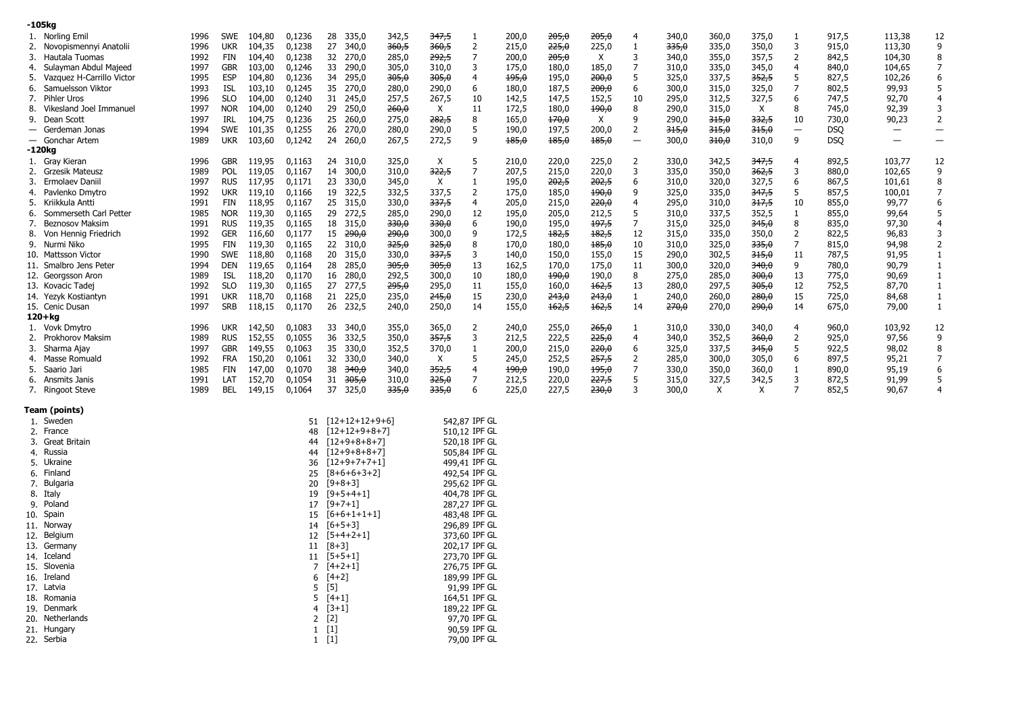| -105kg                                     |      |            |        |        |                     |                  |              |                |       |       |       |                          |       |       |                  |                          |            |                          |                          |
|--------------------------------------------|------|------------|--------|--------|---------------------|------------------|--------------|----------------|-------|-------|-------|--------------------------|-------|-------|------------------|--------------------------|------------|--------------------------|--------------------------|
| 1. Norling Emil                            | 1996 | SWE        | 104,80 | 0,1236 | 28<br>335,0         | 342,5            | 347,5        | 1              | 200,0 | 205,0 | 205,0 | $\overline{4}$           | 340,0 | 360,0 | 375,0            | 1                        | 917,5      | 113,38                   | 12                       |
| Novopismennyi Anatolii<br>2.               | 1996 | <b>UKR</b> | 104,35 | 0,1238 | 27<br>340,0         | 360,5            | 360,5        | 2              | 215,0 | 225,0 | 225,0 | 1                        | 335,0 | 335,0 | 350,0            | 3                        | 915,0      | 113,30                   | 9                        |
| Hautala Tuomas<br>3.                       | 1992 | FIN        | 104,40 | 0,1238 | 32 270,0            | 285,0            | 292,5        | $\overline{7}$ | 200,0 | 205,0 | X     | 3                        | 340,0 | 355,0 | 357,5            | $\overline{2}$           | 842,5      | 104,30                   | 8                        |
| Sulayman Abdul Majeed<br>4.                | 1997 | <b>GBR</b> | 103,00 | 0,1246 | 33 290,0            | 305,0            | 310,0        | 3              | 175,0 | 180,0 | 185,0 | 7                        | 310,0 | 335,0 | 345,0            | $\overline{4}$           | 840,0      | 104,65                   | 7                        |
| Vazquez H-Carrillo Victor<br>5.            | 1995 | <b>ESP</b> | 104,80 | 0,1236 | 34 295,0            | <del>305,0</del> | 305,0        | 4              | 195,0 | 195,0 | 200,0 | 5                        | 325,0 | 337,5 | 352,5            | 5                        | 827,5      | 102,26                   | 6                        |
| Samuelsson Viktor<br>6.                    | 1993 | ISL        | 103,10 | 0,1245 | 35 270,0            | 280,0            | 290,0        | 6              | 180,0 | 187,5 | 200,0 | 6                        | 300,0 | 315,0 | 325,0            | 7                        | 802,5      | 99,93                    | 5                        |
| Pihler Uros<br>7.                          | 1996 | SLO        | 104,00 | 0,1240 | 31 245,0            | 257,5            | 267,5        | 10             | 142,5 | 147,5 | 152,5 | 10                       | 295,0 | 312,5 | 327,5            | 6                        | 747,5      | 92,70                    | 4                        |
| Vikesland Joel Immanuel<br>8.              | 1997 | <b>NOR</b> | 104,00 | 0,1240 | 29 250,0            | 260,0            | X            | 11             | 172,5 | 180,0 | 490,0 | 8                        | 290,0 | 315,0 | X                | 8                        | 745,0      | 92,39                    | 3                        |
| Dean Scott<br>9.                           | 1997 | IRL        | 104,75 | 0,1236 | 25 260,0            | 275,0            | 282,5        | 8              | 165,0 | 170,0 | X     | 9                        | 290,0 | 315,0 | 332,5            | 10                       | 730,0      | 90,23                    | 2                        |
| Gerdeman Jonas<br>$\overline{\phantom{0}}$ | 1994 | SWE        | 101,35 | 0,1255 | 26 270,0            | 280,0            | 290,0        | 5              | 190,0 | 197,5 | 200,0 | $\overline{2}$           | 315,0 | 315,0 | 315,0            | $\overline{\phantom{m}}$ | <b>DSO</b> | $\overline{\phantom{0}}$ | $\overline{\phantom{m}}$ |
| - Gonchar Artem                            | 1989 | ukr        | 103,60 | 0,1242 | 24 260,0            | 267,5            | 272,5        | 9              | 185,0 | 185,0 | 185,0 | $\overline{\phantom{m}}$ | 300,0 | 310,0 | 310,0            | 9                        | <b>DSQ</b> | $\qquad \qquad -$        | $\qquad \qquad -$        |
| -120 <sub>kg</sub>                         |      |            |        |        |                     |                  |              |                |       |       |       |                          |       |       |                  |                          |            |                          |                          |
| 1. Gray Kieran                             | 1996 | <b>GBR</b> | 119,95 | 0,1163 | 24 310,0            | 325,0            | X            | 5              | 210,0 | 220,0 | 225,0 | 2                        | 330,0 | 342,5 | 347,5            | 4                        | 892,5      | 103,77                   | 12                       |
| 2. Grzesik Mateusz                         | 1989 | <b>POL</b> | 119,05 | 0,1167 | 14 300,0            | 310,0            | 322,5        | 7              | 207,5 | 215,0 | 220,0 | 3                        | 335,0 | 350,0 | 362,5            | 3                        | 880,0      | 102,65                   | 9                        |
| Ermolaev Daniil<br>3.                      | 1997 | <b>RUS</b> | 117,95 | 0,1171 | 23 330,0            | 345,0            | X            | $\mathbf{1}$   | 195,0 | 202,5 | 202,5 | 6                        | 310,0 | 320,0 | 327,5            | 6                        | 867,5      | 101,61                   | 8                        |
|                                            | 1992 | <b>UKR</b> | 119,10 | 0,1166 | 19 322,5            |                  |              |                |       |       |       | 9                        | 325,0 |       | 347,5            | 5                        |            |                          | $\overline{7}$           |
| Pavlenko Dmytro<br>4.                      | 1991 |            |        |        |                     | 332,5            | 337,5        | $\overline{2}$ | 175,0 | 185,0 | 490,0 | $\overline{4}$           |       | 335,0 |                  | 10                       | 857,5      | 100,01                   | 6                        |
| Kriikkula Antti<br>5.                      |      | FIN        | 118,95 | 0,1167 | 25 315,0            | 330,0            | 337,5        | 4              | 205,0 | 215,0 | 220,0 |                          | 295,0 | 310,0 | 317,5            |                          | 855,0      | 99,77                    |                          |
| Sommerseth Carl Petter<br>6.               | 1985 | Nor        | 119,30 | 0,1165 | 29 272,5            | 285,0            | 290,0        | 12             | 195,0 | 205,0 | 212,5 | 5                        | 310,0 | 337,5 | 352,5            | $\mathbf{1}$             | 855,0      | 99,64                    | 5                        |
| <b>Beznosov Maksim</b><br>7.               | 1991 | <b>RUS</b> | 119,35 | 0,1165 | 18 315,0            | <del>330,0</del> | 330,0        | 6              | 190,0 | 195,0 | 197,5 | $\overline{7}$           | 315,0 | 325,0 | 345,0            | 8                        | 835,0      | 97,30                    | $\overline{4}$           |
| Von Hennig Friedrich<br>8.                 | 1992 | <b>GER</b> | 116,60 | 0,1177 | $15 \t290,0$        | <del>290,0</del> | 300,0        | 9              | 172,5 | 182,5 | 182,5 | 12                       | 315,0 | 335,0 | 350,0            | 2                        | 822,5      | 96,83                    | 3                        |
| 9. Nurmi Niko                              | 1995 | FIN        | 119,30 | 0,1165 | 22 310,0            | 325,0            | 325,0        | 8              | 170,0 | 180,0 | 185,0 | 10                       | 310,0 | 325,0 | 335,0            | 7                        | 815,0      | 94,98                    | $\overline{2}$           |
| 10. Mattsson Victor                        | 1990 | SWE        | 118,80 | 0,1168 | 20 315,0            | 330,0            | 337,5        | 3              | 140,0 | 150,0 | 155,0 | 15                       | 290,0 | 302,5 | 315,0            | 11                       | 787,5      | 91,95                    | 1                        |
| 11. Smalbro Jens Peter                     | 1994 | DEN        | 119,65 | 0,1164 | 28 285,0            | <del>305,0</del> | 305,0        | 13             | 162,5 | 170,0 | 175,0 | 11                       | 300,0 | 320,0 | 340,0            | 9                        | 780,0      | 90,79                    | 1                        |
| 12. Georgsson Aron                         | 1989 | ISL        | 118,20 | 0,1170 | 16 280,0            | 292,5            | 300,0        | 10             | 180,0 | 190,0 | 190,0 | 8                        | 275,0 | 285,0 | 300,0            | 13                       | 775,0      | 90,69                    | -1                       |
| 13. Kovacic Tadej                          | 1992 | <b>SLO</b> | 119,30 | 0,1165 | 27 277,5            | 295,0            | 295,0        | 11             | 155,0 | 160,0 | 162,5 | 13                       | 280,0 | 297,5 | 305,0            | 12                       | 752,5      | 87,70                    | 1                        |
| 14. Yezyk Kostiantyn                       | 1991 | <b>UKR</b> | 118,70 | 0,1168 | 21 225,0            | 235,0            | 245,0        | 15             | 230,0 | 243,0 | 243,0 | $\mathbf{1}$             | 240,0 | 260,0 | 280,0            | 15                       | 725,0      | 84,68                    | $\mathbf{1}$             |
| 15. Cenic Dusan                            | 1997 | SRB        | 118,15 | 0,1170 | 26 232,5            | 240,0            | 250,0        | 14             | 155,0 | 162,5 | 162,5 | 14                       | 270,0 | 270,0 | <del>290,0</del> | 14                       | 675,0      | 79,00                    | 1                        |
| $120 + kg$                                 |      |            |        |        |                     |                  |              |                |       |       |       |                          |       |       |                  |                          |            |                          |                          |
| 1. Vovk Dmytro                             | 1996 | ukr        | 142,50 | 0,1083 | 33 340,0            | 355,0            | 365,0        | 2              | 240,0 | 255,0 | 265,0 | 1                        | 310,0 | 330,0 | 340,0            | 4                        | 960,0      | 103,92                   | 12                       |
| Prokhorov Maksim<br>2.                     | 1989 | <b>RUS</b> | 152,55 | 0,1055 | 36 332,5            | 350,0            | 357,5        | 3              | 212,5 | 222,5 | 225,0 | $\overline{4}$           | 340,0 | 352,5 | 360,0            | 2                        | 925,0      | 97,56                    | 9                        |
| Sharma Ajay<br>3.                          | 1997 | <b>GBR</b> | 149,55 | 0,1063 | 35 330,0            | 352,5            | 370,0        | 1              | 200,0 | 215,0 | 220,0 | 6                        | 325,0 | 337,5 | 345,0            | 5                        | 922,5      | 98,02                    | 8                        |
| Masse Romuald<br>4.                        | 1992 | FRA        | 150,20 | 0,1061 | 32 330,0            | 340,0            | $\mathsf{X}$ | 5              | 245,0 | 252,5 | 257,5 | $\overline{2}$           | 285,0 | 300,0 | 305,0            | 6                        | 897,5      | 95,21                    | $\overline{7}$           |
| Saario Jari<br>5.                          | 1985 | FIN        | 147,00 | 0,1070 | 38 <del>340,0</del> | 340,0            | 352,5        | 4              | 190,0 | 190,0 | 195,0 | $\overline{7}$           | 330,0 | 350,0 | 360,0            | $\mathbf{1}$             | 890,0      | 95,19                    | 6                        |
| 6. Ansmits Janis                           | 1991 | LAT        | 152,70 | 0,1054 | 31 <del>305,0</del> | 310,0            | 325,0        | 7              | 212,5 | 220,0 | 227,5 | 5                        | 315,0 | 327,5 | 342,5            | 3                        | 872,5      | 91,99                    | 5                        |
| 7. Ringoot Steve                           | 1989 | BEL        | 149,15 | 0,1064 | 37 325,0            | 335,0            | 335,0        | 6              | 225,0 | 227,5 | 230,0 | 3                        | 300,0 | X     | X                | 7                        | 852,5      | 90,67                    | $\overline{4}$           |
|                                            |      |            |        |        |                     |                  |              |                |       |       |       |                          |       |       |                  |                          |            |                          |                          |
| Team (points)                              |      |            |        |        |                     |                  |              |                |       |       |       |                          |       |       |                  |                          |            |                          |                          |
| 1. Sweden                                  |      |            |        | 51     | $[12+12+12+9+6]$    |                  |              | 542,87 IPF GL  |       |       |       |                          |       |       |                  |                          |            |                          |                          |
| 2. France                                  |      |            |        | 48     | $[12+12+9+8+7]$     |                  |              | 510,12 IPF GL  |       |       |       |                          |       |       |                  |                          |            |                          |                          |
| Great Britain<br>3.                        |      |            |        | 44     | $[12+9+8+8+7]$      |                  |              | 520,18 IPF GL  |       |       |       |                          |       |       |                  |                          |            |                          |                          |
| 4. Russia                                  |      |            |        | 44     | $[12+9+8+8+7]$      |                  |              | 505,84 IPF GL  |       |       |       |                          |       |       |                  |                          |            |                          |                          |
| Ukraine<br>5.                              |      |            |        | 36     | $[12+9+7+7+1]$      |                  |              | 499,41 IPF GL  |       |       |       |                          |       |       |                  |                          |            |                          |                          |
| 6. Finland                                 |      |            |        | 25     | $[8+6+6+3+2]$       |                  |              | 492,54 IPF GL  |       |       |       |                          |       |       |                  |                          |            |                          |                          |
| Bulgaria<br>7.                             |      |            |        | 20     | $[9+8+3]$           |                  |              | 295,62 IPF GL  |       |       |       |                          |       |       |                  |                          |            |                          |                          |
| 8. Italy                                   |      |            |        | 19     | $[9+5+4+1]$         |                  |              | 404,78 IPF GL  |       |       |       |                          |       |       |                  |                          |            |                          |                          |
| Poland<br>9.                               |      |            |        | 17     | $[9+7+1]$           |                  |              | 287,27 IPF GL  |       |       |       |                          |       |       |                  |                          |            |                          |                          |
| 10. Spain                                  |      |            |        | 15     | $[6+6+1+1+1]$       |                  |              | 483,48 IPF GL  |       |       |       |                          |       |       |                  |                          |            |                          |                          |
| 11. Norway                                 |      |            |        | 14     | $[6+5+3]$           |                  |              | 296,89 IPF GL  |       |       |       |                          |       |       |                  |                          |            |                          |                          |
| 12. Belgium                                |      |            |        | 12     | $[5+4+2+1]$         |                  |              | 373,60 IPF GL  |       |       |       |                          |       |       |                  |                          |            |                          |                          |
| 13. Germany                                |      |            |        |        | $11 [8+3]$          |                  |              | 202,17 IPF GL  |       |       |       |                          |       |       |                  |                          |            |                          |                          |
| 14. Iceland                                |      |            |        |        | $11 [5+5+1]$        |                  |              | 273,70 IPF GL  |       |       |       |                          |       |       |                  |                          |            |                          |                          |
| 15. Slovenia                               |      |            |        |        | $7[4+2+1]$          |                  |              |                |       |       |       |                          |       |       |                  |                          |            |                          |                          |
|                                            |      |            |        |        |                     |                  |              | 276,75 IPF GL  |       |       |       |                          |       |       |                  |                          |            |                          |                          |
| 16. Ireland                                |      |            |        |        | $6[4+2]$            |                  |              | 189,99 IPF GL  |       |       |       |                          |       |       |                  |                          |            |                          |                          |
| 17. Latvia                                 |      |            |        |        | 5[5]                |                  |              | 91,99 IPF GL   |       |       |       |                          |       |       |                  |                          |            |                          |                          |
| 18. Romania                                |      |            |        |        | $5[4+1]$            |                  |              | 164,51 IPF GL  |       |       |       |                          |       |       |                  |                          |            |                          |                          |
| 19. Denmark                                |      |            |        |        | $4 [3+1]$           |                  |              | 189.22 IPF GL  |       |       |       |                          |       |       |                  |                          |            |                          |                          |
| 20. Netherlands                            |      |            |        |        | $2^{2}[2]$          |                  |              | 97,70 IPF GL   |       |       |       |                          |       |       |                  |                          |            |                          |                          |
| 21. Hungary                                |      |            |        |        | $1$ [1]             |                  |              | 90,59 IPF GL   |       |       |       |                          |       |       |                  |                          |            |                          |                          |
| 22. Serbia                                 |      |            |        |        | $1$ [1]             |                  |              | 79,00 IPF GL   |       |       |       |                          |       |       |                  |                          |            |                          |                          |
|                                            |      |            |        |        |                     |                  |              |                |       |       |       |                          |       |       |                  |                          |            |                          |                          |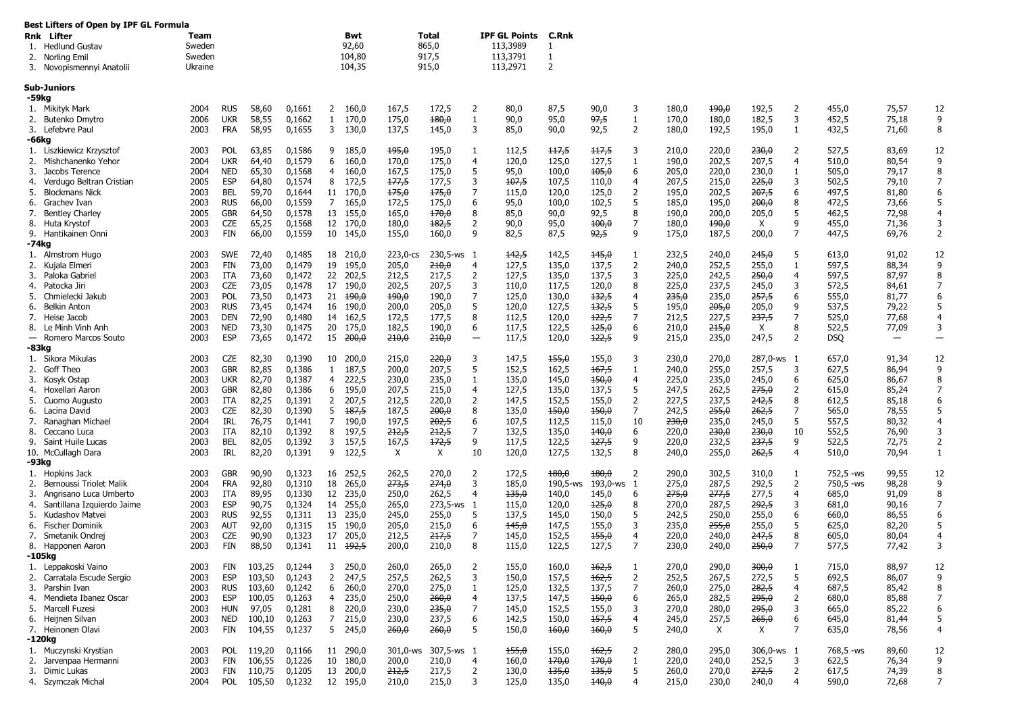|                          | Best Lifters of Open by IPF GL Formula<br><b>Rnk</b> Lifter<br>1. Hedlund Gustav<br>2. Norling Emil<br>3. Novopismennyi Anatolii | Team<br>Sweden<br>Sweden<br>Ukraine |                                        |                         |                            |                                   | Bwt<br>92,60<br>104,80<br>104,35 |                         | <b>Total</b><br>865,0<br>917,5<br>915,0 |                          | <b>IPF GL Points</b><br>113,3989<br>113,3791<br>113,2971 | C.Rnk<br>1<br>-1<br>$\overline{2}$ |                      |                                     |                         |                         |                         |                     |                         |                          |                     |
|--------------------------|----------------------------------------------------------------------------------------------------------------------------------|-------------------------------------|----------------------------------------|-------------------------|----------------------------|-----------------------------------|----------------------------------|-------------------------|-----------------------------------------|--------------------------|----------------------------------------------------------|------------------------------------|----------------------|-------------------------------------|-------------------------|-------------------------|-------------------------|---------------------|-------------------------|--------------------------|---------------------|
|                          | <b>Sub-Juniors</b>                                                                                                               |                                     |                                        |                         |                            |                                   |                                  |                         |                                         |                          |                                                          |                                    |                      |                                     |                         |                         |                         |                     |                         |                          |                     |
| 2.                       | -59kg<br>1. Mikityk Mark<br>Butenko Dmytro<br>3. Lefebvre Paul                                                                   | 2004<br>2006<br>2003                | <b>RUS</b><br><b>UKR</b><br><b>FRA</b> | 58,60<br>58,55<br>58,95 | 0,1661<br>0,1662<br>0,1655 | $\mathbf{2}$<br>$\mathbf{1}$<br>3 | 160,0<br>170,0<br>130,0          | 167,5<br>175,0<br>137,5 | 172,5<br>180,0<br>145,0                 | 2<br>-1<br>3             | 80,0<br>90,0<br>85,0                                     | 87,5<br>95,0<br>90,0               | 90,0<br>97,5<br>92,5 | 3<br>$\mathbf{1}$<br>$\overline{2}$ | 180,0<br>170,0<br>180,0 | 490,0<br>180,0<br>192,5 | 192,5<br>182,5<br>195,0 | 2<br>3<br>1         | 455,0<br>452,5<br>432,5 | 75,57<br>75,18<br>71,60  | 12<br>9<br>8        |
|                          | -66kg                                                                                                                            |                                     |                                        |                         |                            |                                   |                                  |                         |                                         |                          |                                                          |                                    |                      |                                     |                         |                         |                         |                     |                         |                          |                     |
|                          | 1. Liszkiewicz Krzysztof                                                                                                         | 2003                                | POL                                    | 63,85                   | 0,1586                     | 9                                 | 185,0                            | 195,0                   | 195,0                                   | -1                       | 112,5                                                    | <del>117,5</del>                   | <del>117,5</del>     | 3                                   | 210,0                   | 220,0                   | <del>230,0</del>        | 2                   | 527,5                   | 83,69                    | 12                  |
| 2.                       | Mishchanenko Yehor                                                                                                               | 2004                                | <b>UKR</b>                             | 64,40                   | 0,1579                     | 6                                 | 160,0                            | 170,0                   | 175,0                                   | $\overline{a}$           | 120,0                                                    | 125,0                              | 127,5                | -1                                  | 190,0                   | 202,5                   | 207,5                   | 4                   | 510,0                   | 80,54                    | 9                   |
| 3.                       | Jacobs Terence                                                                                                                   | 2004                                | <b>NED</b>                             | 65,30                   | 0,1568                     | 4                                 | 160,0                            | 167,5                   | 175,0                                   | 5                        | 95,0                                                     | 100,0                              | 105,0                | 6                                   | 205,0                   | 220,0                   | 230,0                   | 1                   | 505,0                   | 79,17                    | 8                   |
| 4.                       | Verdugo Beltran Cristian                                                                                                         | 2005                                | <b>ESP</b>                             | 64,80                   | 0,1574                     | 8                                 | 172,5                            | 177,5                   | 177,5                                   | 3                        | 107,5                                                    | 107,5                              | 110,0                | $\overline{4}$                      | 207,5                   | 215,0                   | 225,0                   | 3                   | 502,5                   | 79,10                    | $\overline{7}$      |
| 5.<br>6.                 | <b>Blockmans Nick</b><br>Grachev Ivan                                                                                            | 2003<br>2003                        | BEL<br><b>RUS</b>                      | 59,70<br>66,00          | 0,1644<br>0,1559           | 11<br>7                           | 170,0<br>165,0                   | 175,0<br>172,5          | 175,0<br>175,0                          | 7<br>6                   | 115,0<br>95,0                                            | 120,0<br>100,0                     | 125,0<br>102,5       | 2<br>5                              | 195,0<br>185,0          | 202,5<br>195,0          | 207,5<br>200,0          | 6<br>8              | 497,5<br>472,5          | 81,80<br>73,66           | 6<br>5              |
| 7.                       | <b>Bentley Charley</b>                                                                                                           | 2005                                | <b>GBR</b>                             | 64,50                   | 0,1578                     | 13                                | 155,0                            | 165,0                   | 170,0                                   | 8                        | 85,0                                                     | 90,0                               | 92,5                 | 8                                   | 190,0                   | 200,0                   | 205,0                   | 5                   | 462,5                   | 72,98                    | 4                   |
|                          | 8. Huta Krystof                                                                                                                  | 2003                                | <b>CZE</b>                             | 65,25                   | 0,1568                     | 12                                | 170,0                            | 180,0                   | 182,5                                   | $\overline{2}$           | 90,0                                                     | 95,0                               | 100,0                | 7                                   | 180,0                   | 490,0                   | X                       | 9                   | 455,0                   | 71,36                    | 3                   |
|                          | 9. Hantikainen Onni                                                                                                              | 2003                                | FIN                                    | 66,00                   | 0,1559                     | 10                                | 145,0                            | 155,0                   | 160,0                                   | 9                        | 82,5                                                     | 87,5                               | 92,5                 | 9                                   | 175,0                   | 187,5                   | 200,0                   | 7                   | 447,5                   | 69,76                    | 2                   |
|                          | -74kg                                                                                                                            |                                     |                                        |                         |                            |                                   |                                  |                         |                                         |                          |                                                          |                                    |                      |                                     |                         |                         |                         |                     |                         |                          |                     |
|                          | 1. Almstrom Hugo                                                                                                                 | 2003                                | <b>SWE</b>                             | 72,40                   | 0,1485                     | 18                                | 210,0                            | 223,0-cs                | 230,5-ws 1                              |                          | 142,5                                                    | 142,5                              | 145,0                | $\mathbf{1}$                        | 232,5                   | 240,0                   | 245,0                   | 5                   | 613,0                   | 91,02                    | 12                  |
|                          | 2. Kujala Elmeri                                                                                                                 | 2003                                | FIN                                    | 73,00                   | 0,1479                     | 19                                | 195,0                            | 205,0                   | 210,0                                   | 4                        | 127,5                                                    | 135,0                              | 137,5                | $\overline{2}$                      | 240,0                   | 252,5                   | 255,0                   | 1                   | 597,5                   | 88,34                    | 9                   |
| 3.<br>4.                 | Paloka Gabriel<br>Patocka Jiri                                                                                                   | 2003<br>2003                        | ITA<br>CZE                             | 73,60<br>73,05          | 0,1472<br>0,1478           | 22<br>17                          | 202,5<br>190,0                   | 212,5<br>202,5          | 217,5<br>207,5                          | $\overline{2}$<br>3      | 127,5<br>110,0                                           | 135,0<br>117,5                     | 137,5<br>120,0       | 3<br>8                              | 225,0<br>225,0          | 242,5<br>237,5          | 250,0<br>245,0          | $\overline{4}$<br>3 | 597,5<br>572,5          | 87,97<br>84,61           | 8<br>$\overline{7}$ |
| 5.                       | Chmielecki Jakub                                                                                                                 | 2003                                | POL                                    | 73,50                   | 0,1473                     | 21                                | <del>190,0</del>                 | $+90,0$                 | 190,0                                   | 7                        | 125,0                                                    | 130,0                              | 132,5                | $\overline{4}$                      | <del>235,0</del>        | 235,0                   | 257,5                   | 6                   | 555,0                   | 81,77                    | 6                   |
| 6.                       | <b>Belkin Anton</b>                                                                                                              | 2003                                | <b>RUS</b>                             | 73,45                   | 0,1474                     | 16                                | 190,0                            | 200,0                   | 205,0                                   | 5                        | 120,0                                                    | 127,5                              | 132,5                | 5                                   | 195,0                   | 205,0                   | 205,0                   | 9                   | 537,5                   | 79,22                    | 5                   |
| 7.                       | Heise Jacob                                                                                                                      | 2003                                | <b>DEN</b>                             | 72,90                   | 0,1480                     | 14                                | 162,5                            | 172,5                   | 177,5                                   | 8                        | 112,5                                                    | 120,0                              | 122,5                | 7                                   | 212,5                   | 227,5                   | 237,5                   | 7                   | 525,0                   | 77,68                    | 4                   |
|                          | 8. Le Minh Vinh Anh                                                                                                              | 2003                                | NED                                    | 73,30                   | 0,1475                     | 20                                | 175,0                            | 182,5                   | 190,0                                   | 6                        | 117,5                                                    | 122,5                              | 125,0                | 6                                   | 210,0                   | 215,0                   | X                       | 8                   | 522,5                   | 77,09                    | 3                   |
| $\overline{\phantom{m}}$ | Romero Marcos Souto                                                                                                              | 2003                                | <b>ESP</b>                             | 73,65                   | 0,1472                     | 15                                | <del>200,0</del>                 | 210,0                   | <del>210,0</del>                        | $\overline{\phantom{0}}$ | 117,5                                                    | 120,0                              | 122,5                | 9                                   | 215,0                   | 235,0                   | 247,5                   | 2                   | DSQ                     | $\overline{\phantom{0}}$ | $\qquad \qquad -$   |
|                          | -83kg                                                                                                                            |                                     |                                        |                         |                            |                                   |                                  |                         |                                         |                          |                                                          |                                    |                      |                                     |                         |                         |                         |                     |                         |                          |                     |
| 2.                       | 1. Sikora Mikulas<br>Goff Theo                                                                                                   | 2003<br>2003                        | CZE<br><b>GBR</b>                      | 82,30<br>82,85          | 0,1390<br>0,1386           | 10<br>$\mathbf{1}$                | 200,0<br>187,5                   | 215,0<br>200,0          | 220,0<br>207,5                          | 3<br>5                   | 147,5<br>152,5                                           | 155,0<br>162,5                     | 155,0<br>167,5       | 3<br>1                              | 230,0<br>240,0          | 270,0<br>255,0          | 287,0-ws 1<br>257,5     | 3                   | 657,0<br>627,5          | 91,34<br>86,94           | 12<br>9             |
| 3.                       | Kosyk Ostap                                                                                                                      | 2003                                | <b>UKR</b>                             | 82,70                   | 0,1387                     | 4                                 | 222,5                            | 230,0                   | 235,0                                   | -1                       | 135,0                                                    | 145,0                              | 150,0                | $\overline{4}$                      | 225,0                   | 235,0                   | 245,0                   | 6                   | 625,0                   | 86,67                    | 8                   |
| 4.                       | Hoxellari Aaron                                                                                                                  | 2003                                | <b>GBR</b>                             | 82,80                   | 0,1386                     | 6                                 | 195,0                            | 207,5                   | 215,0                                   | 4                        | 127,5                                                    | 135,0                              | 137,5                | 5                                   | 247,5                   | 262,5                   | 275,0                   | $\overline{2}$      | 615,0                   | 85,24                    | $\overline{7}$      |
| 5.                       | Cuomo Augusto                                                                                                                    | 2003                                | ITA                                    | 82,25                   | 0,1391                     | 2                                 | 207,5                            | 212,5                   | 220,0                                   | 2                        | 147,5                                                    | 152,5                              | 155,0                | $\overline{2}$                      | 227,5                   | 237,5                   | 242,5                   | 8                   | 612,5                   | 85,18                    | 6                   |
| 6.                       | Lacina David                                                                                                                     | 2003                                | CZE                                    | 82,30                   | 0,1390                     | 5                                 | 187,5                            | 187,5                   | 200,0                                   | 8                        | 135,0                                                    | 150,0                              | 150,0                | 7                                   | 242,5                   | 255,0                   | 262,5                   | 7                   | 565,0                   | 78,55                    | 5                   |
| 7.                       | Ranaghan Michael                                                                                                                 | 2004                                | IRL                                    | 76,75                   | 0,1441                     | 7                                 | 190,0                            | 197,5                   | 202,5                                   | 6                        | 107,5                                                    | 112,5                              | 115,0                | 10                                  | 230,0                   | 235,0                   | 245,0                   | 5                   | 557,5                   | 80,32                    | 4                   |
| 8.                       | Ceccano Luca                                                                                                                     | 2003                                | ITA                                    | 82,10                   | 0,1392                     | 8                                 | 197,5                            | 212,5                   | 212,5                                   | 7                        | 132,5                                                    | 135,0                              | 140,0                | 6                                   | 220,0                   | 230,0                   | 230,0                   | 10                  | 552,5                   | 76,90                    | 3                   |
| 9.                       | Saint Huile Lucas                                                                                                                | 2003                                | <b>BEL</b>                             | 82,05                   | 0,1392                     | 3                                 | 157,5                            | 167,5                   | 172,5                                   | 9                        | 117,5                                                    | 122,5                              | 127,5                | 9                                   | 220,0                   | 232,5                   | 237,5                   | 9                   | 522,5                   | 72,75                    | 2                   |
|                          | 10. McCullagh Dara<br>-93kg                                                                                                      | 2003                                | IRL                                    | 82,20                   | 0,1391                     | 9                                 | 122,5                            | Χ                       | X                                       | 10                       | 120,0                                                    | 127,5                              | 132,5                | 8                                   | 240,0                   | 255,0                   | <del>262,5</del>        | 4                   | 510,0                   | 70,94                    | $\mathbf{1}$        |
|                          | 1. Hopkins Jack                                                                                                                  | 2003                                | <b>GBR</b>                             | 90,90                   | 0,1323                     |                                   | 16 252,5                         | 262,5                   | 270,0                                   | 2                        | 172,5                                                    | 180,0                              | 180,0                | 2                                   | 290,0                   | 302,5                   | 310,0                   | 1                   | 752,5 -ws               | 99,55                    | 12                  |
| 2.                       | Bernoussi Triolet Malik                                                                                                          | 2004                                | <b>FRA</b>                             | 92,80                   | 0,1310                     | 18                                | 265,0                            | 273,5                   | 274,0                                   | 3                        | 185,0                                                    | 190,5-ws                           | 193,0-ws 1           |                                     | 275,0                   | 287,5                   | 292,5                   | $\overline{2}$      | 750,5 -ws               | 98,28                    | 9                   |
| 3.                       | Angrisano Luca Umberto                                                                                                           | 2003                                | ITA                                    | 89,95                   | 0,1330                     |                                   | 12 235,0                         | 250,0                   | 262,5                                   | $\overline{a}$           | 135,0                                                    | 140,0                              | 145,0                | 6                                   | <del>275,0</del>        | 277,5                   | 277,5                   | $\overline{4}$      | 685,0                   | 91,09                    | 8                   |
| 4.                       | Santillana Izquierdo Jaime                                                                                                       | 2003                                | <b>ESP</b>                             | 90,75                   | 0,1324                     |                                   | 14 255,0                         | 265,0                   | 273,5-ws 1                              |                          | 115,0                                                    | 120,0                              | 125,0                | 8                                   | 270,0                   | 287,5                   | 292,5                   | 3                   | 681,0                   | 90,16                    | 7                   |
| 5.                       | Kudashov Matvei                                                                                                                  | 2003                                | <b>RUS</b>                             | 92,55                   | 0,1311                     | 13                                | 235,0                            | 245,0                   | 255,0                                   | 5                        | 137,5                                                    | 145,0                              | 150,0                | 5                                   | 242,5                   | 250,0                   | 255,0                   | 6                   | 660,0                   | 86,55                    | 6                   |
| 6.                       | <b>Fischer Dominik</b><br>Smetanik Ondrej                                                                                        | 2003<br>2003                        | AUT<br><b>CZE</b>                      | 92,00<br>90,90          | 0,1315<br>0,1323           | 15<br>17                          | 190,0<br>205,0                   | 205,0<br>212,5          | 215,0<br>217,5                          | 6<br>7                   | 145,0                                                    | 147,5<br>152,5                     | 155,0<br>155,0       | 3<br>$\overline{4}$                 | 235,0<br>220,0          | 255,0                   | 255,0<br>247,5          | 5<br>8              | 625,0<br>605,0          | 82,20<br>80,04           | 5<br>4              |
| 7.                       | 8. Happonen Aaron                                                                                                                | 2003                                | FIN                                    | 88,50                   | 0,1341                     | 11                                | <del>192,5</del>                 | 200,0                   | 210,0                                   | 8                        | 145,0<br>115,0                                           | 122,5                              | 127,5                | $\overline{7}$                      | 230,0                   | 240,0<br>240,0          | 250,0                   | 7                   | 577,5                   | 77,42                    | 3                   |
|                          | -105kg                                                                                                                           |                                     |                                        |                         |                            |                                   |                                  |                         |                                         |                          |                                                          |                                    |                      |                                     |                         |                         |                         |                     |                         |                          |                     |
|                          | 1. Leppakoski Vaino                                                                                                              | 2003                                | FIN                                    | 103,25                  | 0,1244                     | 3                                 | 250,0                            | 260,0                   | 265,0                                   | 2                        | 155,0                                                    | 160,0                              | 162,5                | -1                                  | 270,0                   | 290,0                   | 300,0                   | $\mathbf{1}$        | 715,0                   | 88,97                    | 12                  |
|                          | 2. Carratala Escude Sergio                                                                                                       | 2003                                | <b>ESP</b>                             | 103,50                  | 0,1243                     | $\overline{2}$                    | 247,5                            | 257,5                   | 262,5                                   | 3                        | 150,0                                                    | 157,5                              | 162,5                | $\overline{2}$                      | 252,5                   | 267,5                   | 272,5                   | 5                   | 692,5                   | 86,07                    | 9                   |
|                          | 3. Parshin Ivan                                                                                                                  | 2003                                | <b>RUS</b>                             | 103,60                  | 0,1242                     | 6                                 | 260,0                            | 270,0                   | 275,0                                   | -1                       | 125,0                                                    | 132,5                              | 137,5                | 7                                   | 260,0                   | 275,0                   | 282,5                   | 4                   | 687,5                   | 85,42                    | 8                   |
|                          | 4. Mendieta Ibanez Oscar                                                                                                         | 2003                                | ESP                                    | 100,05                  | 0,1263                     | 4                                 | 235,0                            | 250,0                   | 260,0                                   | 4                        | 137,5                                                    | 147,5                              | 450,0                | 6                                   | 265,0                   | 282,5                   | 295,0                   | $\overline{2}$      | 680,0                   | 85,88                    | 7                   |
|                          | 5. Marcell Fuzesi                                                                                                                | 2003                                | HUN                                    | 97,05                   | 0,1281                     | 8                                 | 220,0                            | 230,0                   | 235,0                                   | $\overline{7}$<br>6      | 145,0                                                    | 152,5                              | 155,0                | 3                                   | 270,0                   | 280,0                   | 295,0                   | 3                   | 665,0                   | 85,22                    | -5                  |
|                          | 6. Heijnen Silvan<br>7. Heinonen Olavi                                                                                           | 2003<br>2003                        | NED<br>FIN                             | 100,10<br>104,55        | 0,1263<br>0,1237           | $7\overline{ }$                   | 215,0<br>5 245,0                 | 230,0<br>260,0          | 237,5<br>260,0                          | 5                        | 142,5<br>150,0                                           | 150,0<br>160,0                     | 157,5<br>160,0       | 4<br>5                              | 245,0<br>240,0          | 257,5<br>X              | 265,0<br>X              | 6<br>7              | 645,0<br>635,0          | 81,44<br>78,56           | 4                   |
|                          | -120kg                                                                                                                           |                                     |                                        |                         |                            |                                   |                                  |                         |                                         |                          |                                                          |                                    |                      |                                     |                         |                         |                         |                     |                         |                          |                     |
|                          | 1. Muczynski Krystian                                                                                                            | 2003                                | POL                                    | 119,20                  | 0,1166                     |                                   | 11 290,0                         |                         | 301,0-ws 307,5-ws 1                     |                          | 155,0                                                    | 155,0                              | 162,5                | 2                                   | 280,0                   | 295,0                   | $306,0$ -ws 1           |                     | 768,5 -ws               | 89,60                    | 12                  |
|                          | 2. Jarvenpaa Hermanni                                                                                                            | 2003                                | FIN                                    | 106,55                  | 0,1226                     |                                   | 10 180,0                         | 200,0                   | 210,0                                   | $\overline{4}$           | 160,0                                                    | 170,0                              | 170,0                | -1                                  | 220,0                   | 240,0                   | 252,5                   | 3                   | 622,5                   | 76,34                    | 9                   |
|                          | 3. Dimic Lukas                                                                                                                   | 2003                                | FIN                                    | 110,75                  | 0,1205                     |                                   | 13 200,0                         | 212,5                   | 217,5                                   | $\overline{2}$           | 130,0                                                    | 135,0                              | 135,0                | 5                                   | 260,0                   | 270,0                   | 272,5                   | $\overline{2}$      | 617,5                   | 74,39                    | 8                   |
|                          | 4. Szymczak Michal                                                                                                               | 2004                                |                                        |                         | POL 105,50 0,1232          |                                   | 12 195,0                         | 210,0                   | 215,0                                   | 3                        | 125,0                                                    | 135,0                              | 140,0                | 4                                   | 215,0                   | 230,0                   | 240,0                   | 4                   | 590,0                   | 72,68                    | 7                   |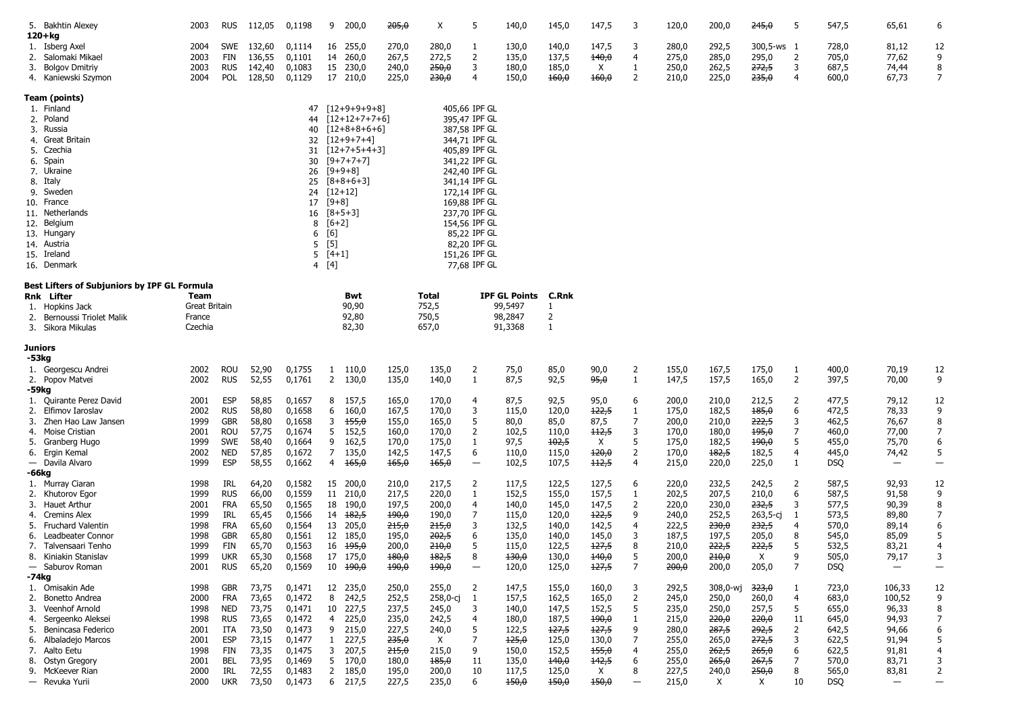|    | 5. Bakhtin Alexey                              | 2003          | <b>RUS</b>        | 112,05         | 0,1198           | 9              | 200,0                             | 205,0            | Χ                         | 5                              | 140,0                | 145,0          | 147,5            | 3                        | 120,0          | 200,0                     | 245,0                     | 5              | 547,5          | 65,61                    | 6                        |
|----|------------------------------------------------|---------------|-------------------|----------------|------------------|----------------|-----------------------------------|------------------|---------------------------|--------------------------------|----------------------|----------------|------------------|--------------------------|----------------|---------------------------|---------------------------|----------------|----------------|--------------------------|--------------------------|
|    | $120 + kg$<br>1. Isberg Axel                   | 2004          | SWE               | 132,60         | 0,1114           |                | 16 255,0                          | 270,0            | 280,0                     | 1                              | 130,0                | 140,0          | 147,5            | 3                        | 280,0          | 292,5                     | 300,5-ws 1                |                | 728,0          | 81,12                    | 12                       |
|    | 2. Salomaki Mikael                             | 2003          | FIN               | 136,55         | 0,1101           |                | 14 260,0                          | 267,5            | 272,5                     | $\overline{2}$                 | 135,0                | 137,5          | 140,0            | $\overline{4}$           | 275,0          | 285,0                     | 295,0                     | $\overline{2}$ | 705,0          | 77,62                    | 9                        |
|    | 3. Bolgov Dmitriy                              | 2003          | <b>RUS</b>        | 142,40         | 0,1083           |                | 15 230,0                          | 240,0            | 250,0                     | 3                              | 180,0                | 185,0          | X                | 1                        | 250,0          | 262,5                     | 272,5                     | 3              | 687,5          | 74,44                    | 8                        |
|    | 4. Kaniewski Szymon                            | 2004          | POL               | 128,50         | 0,1129           |                | 17 210,0                          | 225,0            | 230,0                     | $\overline{4}$                 | 150,0                | 160,0          | 160,0            | 2                        | 210,0          | 225,0                     | 235,0                     | 4              | 600,0          | 67,73                    | 7                        |
|    |                                                |               |                   |                |                  |                |                                   |                  |                           |                                |                      |                |                  |                          |                |                           |                           |                |                |                          |                          |
|    | Team (points)                                  |               |                   |                |                  |                |                                   |                  |                           |                                |                      |                |                  |                          |                |                           |                           |                |                |                          |                          |
|    | 1. Finland                                     |               |                   |                | 47               |                | $[12+9+9+9+8]$                    |                  |                           | 405,66 IPF GL                  |                      |                |                  |                          |                |                           |                           |                |                |                          |                          |
|    | 2. Poland<br>3. Russia                         |               |                   |                | 44               |                | $[12+12+7+7+6]$<br>$[12+8+8+6+6]$ |                  |                           | 395,47 IPF GL                  |                      |                |                  |                          |                |                           |                           |                |                |                          |                          |
|    | 4. Great Britain                               |               |                   |                | 40               |                | $[12+9+7+4]$                      |                  |                           | 387,58 IPF GL<br>344,71 IPF GL |                      |                |                  |                          |                |                           |                           |                |                |                          |                          |
|    | 5. Czechia                                     |               |                   |                | 32<br>31         |                | $[12+7+5+4+3]$                    |                  |                           | 405,89 IPF GL                  |                      |                |                  |                          |                |                           |                           |                |                |                          |                          |
|    | 6. Spain                                       |               |                   |                | 30               |                | $[9+7+7+7]$                       |                  |                           | 341,22 IPF GL                  |                      |                |                  |                          |                |                           |                           |                |                |                          |                          |
|    | 7. Ukraine                                     |               |                   |                | 26               |                | $[9+9+8]$                         |                  |                           | 242,40 IPF GL                  |                      |                |                  |                          |                |                           |                           |                |                |                          |                          |
|    | 8. Italy                                       |               |                   |                | 25               |                | $[8+8+6+3]$                       |                  |                           | 341,14 IPF GL                  |                      |                |                  |                          |                |                           |                           |                |                |                          |                          |
|    | 9. Sweden                                      |               |                   |                | 24               |                | $[12+12]$                         |                  |                           | 172,14 IPF GL                  |                      |                |                  |                          |                |                           |                           |                |                |                          |                          |
|    | 10. France                                     |               |                   |                | 17               | $[9+8]$        |                                   |                  |                           | 169,88 IPF GL                  |                      |                |                  |                          |                |                           |                           |                |                |                          |                          |
|    | 11. Netherlands                                |               |                   |                | 16               |                | $[8+5+3]$                         |                  |                           | 237,70 IPF GL                  |                      |                |                  |                          |                |                           |                           |                |                |                          |                          |
|    | 12. Belgium                                    |               |                   |                | 8                | $[6+2]$        |                                   |                  |                           | 154,56 IPF GL                  |                      |                |                  |                          |                |                           |                           |                |                |                          |                          |
|    | 13. Hungary                                    |               |                   |                | 6                | [6]            |                                   |                  |                           | 85,22 IPF GL                   |                      |                |                  |                          |                |                           |                           |                |                |                          |                          |
|    | 14. Austria                                    |               |                   |                | 5                | $[5]$          |                                   |                  |                           | 82,20 IPF GL                   |                      |                |                  |                          |                |                           |                           |                |                |                          |                          |
|    | 15. Ireland                                    |               |                   |                | 5                | $[4+1]$        |                                   |                  |                           | 151,26 IPF GL                  |                      |                |                  |                          |                |                           |                           |                |                |                          |                          |
|    | 16. Denmark                                    |               |                   |                | $\overline{4}$   | [4]            |                                   |                  |                           | 77,68 IPF GL                   |                      |                |                  |                          |                |                           |                           |                |                |                          |                          |
|    | Best Lifters of Subjuniors by IPF GL Formula   |               |                   |                |                  |                |                                   |                  |                           |                                |                      |                |                  |                          |                |                           |                           |                |                |                          |                          |
|    | <b>Rnk</b> Lifter                              | Team          |                   |                |                  |                | Bwt                               |                  | Total                     |                                | <b>IPF GL Points</b> | C.Rnk          |                  |                          |                |                           |                           |                |                |                          |                          |
|    | 1. Hopkins Jack                                | Great Britain |                   |                |                  |                | 90,90                             |                  | 752,5                     |                                | 99,5497              | -1             |                  |                          |                |                           |                           |                |                |                          |                          |
|    | 2. Bernoussi Triolet Malik                     | France        |                   |                |                  |                | 92,80                             |                  | 750,5                     |                                | 98,2847              | $\overline{2}$ |                  |                          |                |                           |                           |                |                |                          |                          |
|    | 3. Sikora Mikulas                              | Czechia       |                   |                |                  |                | 82,30                             |                  | 657,0                     |                                | 91,3368              | $\mathbf{1}$   |                  |                          |                |                           |                           |                |                |                          |                          |
|    | Juniors                                        |               |                   |                |                  |                |                                   |                  |                           |                                |                      |                |                  |                          |                |                           |                           |                |                |                          |                          |
|    | -53kg                                          |               |                   |                |                  |                |                                   |                  |                           |                                |                      |                |                  |                          |                |                           |                           |                |                |                          |                          |
|    | 1. Georgescu Andrei                            | 2002          | ROU               | 52,90          | 0,1755           |                | $1\quad 110,0$                    | 125,0            | 135,0                     | $\overline{2}$                 | 75,0                 | 85,0           | 90,0             | 2                        | 155,0          | 167,5                     | 175,0                     | -1             | 400,0          | 70,19                    | 12                       |
|    | 2. Popov Matvei                                | 2002          | <b>RUS</b>        | 52,55          | 0,1761           |                | 2 130,0                           | 135,0            | 140,0                     | $\mathbf{1}$                   | 87,5                 | 92,5           | 95,0             | 1                        | 147,5          | 157,5                     | 165,0                     | $\overline{2}$ | 397,5          | 70,00                    | 9                        |
|    | -59kg                                          |               |                   |                |                  |                |                                   |                  |                           |                                |                      |                |                  |                          |                |                           |                           |                |                |                          |                          |
|    | 1. Quirante Perez David<br>2. Elfimov Iaroslav | 2001<br>2002  | ESP<br><b>RUS</b> | 58,85<br>58,80 | 0,1657<br>0,1658 | 6              | 8 157,5<br>160,0                  | 165,0<br>167,5   | 170,0<br>170,0            | 4<br>3                         | 87,5<br>115,0        | 92,5<br>120,0  | 95,0<br>122,5    | 6<br>1                   | 200,0<br>175,0 | 210,0<br>182,5            | 212,5<br>185,0            | 2<br>6         | 477,5<br>472,5 | 79,12<br>78,33           | 12<br>9                  |
|    | 3. Zhen Hao Law Jansen                         | 1999          | GBR               | 58,80          | 0,1658           | 3              | 155,0                             | 155,0            | 165,0                     | 5                              | 80,0                 | 85,0           | 87,5             | 7                        | 200,0          | 210,0                     | 222,5                     | 3              | 462,5          | 76,67                    | 8                        |
| 4. | Moise Cristian                                 | 2001          | ROU               | 57,75          | 0,1674           | 5              | 152,5                             | 160,0            | 170,0                     | 2                              | 102,5                | 110,0          | +12,5            | 3                        | 170,0          | 180,0                     | <del>195,0</del>          | 7              | 460,0          | 77,00                    | 7                        |
|    | 5. Granberg Hugo                               | 1999          | SWE               | 58,40          | 0,1664           | 9              | 162,5                             | 170,0            | 175,0                     | 1                              | 97,5                 | 102,5          | X                | 5                        | 175,0          | 182,5                     | <del>190,0</del>          | 5              | 455,0          | 75,70                    | 6                        |
|    | 6. Ergin Kemal                                 | 2002          | <b>NED</b>        | 57,85          | 0,1672           | $\overline{7}$ | 135,0                             | 142,5            | 147,5                     | 6                              | 110,0                | 115,0          | 120,0            | $\overline{2}$           | 170,0          | 182,5                     | 182,5                     | $\overline{4}$ | 445,0          | 74,42                    | 5                        |
|    | - Davila Alvaro                                | 1999          | <b>ESP</b>        | 58,55          | 0,1662           |                | $4\quad 165,0$                    | 165,0            | 165,0                     | $\overline{\phantom{0}}$       | 102,5                | 107,5          | <del>112,5</del> | $\overline{4}$           | 215,0          | 220,0                     | 225,0                     | -1             | <b>DSQ</b>     | $\overline{\phantom{m}}$ | $\overline{\phantom{m}}$ |
|    | -66kg                                          |               |                   |                |                  |                |                                   |                  |                           |                                |                      |                |                  |                          |                |                           |                           |                |                |                          |                          |
|    | 1. Murray Ciaran                               | 1998          | IRL               | 64,20          | 0,1582           |                | 15 200,0                          | 210,0            | 217,5                     | 2                              | 117,5                | 122,5          | 127,5            | 6                        | 220,0          | 232,5                     | 242,5                     | 2              | 587,5          | 92,93                    | 12                       |
|    | 2. Khutorov Egor                               | 1999          | <b>RUS</b>        | 66,00          | 0,1559           |                | 11 210,0                          | 217,5            | 220,0                     | $\mathbf{1}$                   | 152,5                | 155,0          | 157,5            | 1                        | 202,5          | 207,5                     | 210,0                     | 6              | 587,5          | 91,58                    | 9                        |
|    | 3. Hauet Arthur                                | 2001          | <b>FRA</b>        | 65,50          | 0,1565           |                | 18 190,0                          | 197,5            | 200,0                     | 4                              | 140,0                | 145,0          | 147,5            | 2                        | 220,0          | 230,0                     | 232,5                     | 3              | 577,5          | 90,39                    | 8                        |
|    | 4. Cremins Alex<br>5. Fruchard Valentin        | 1999          | IRL               | 65,45          | 0,1566           |                | 14 <del>182,5</del>               | 490,0            | 190,0                     | 7                              | 115,0                | 120,0          | 122,5            | 9                        | 240,0          | 252,5                     | 263,5-cj                  | $\mathbf{1}$   | 573,5          | 89,80                    | $\overline{7}$           |
|    | 6. Leadbeater Connor                           | 1998<br>1998  | <b>FRA</b><br>GBR | 65,60<br>65,80 | 0,1564<br>0,1561 |                | 13 205,0<br>12 185,0              | 215,0<br>195,0   | 215,0<br><del>202,5</del> | 3<br>6                         | 132,5<br>135,0       | 140,0<br>140,0 | 142,5<br>145,0   | $\overline{4}$<br>3      | 222,5<br>187,5 | <del>230,0</del><br>197,5 | <del>232,5</del><br>205,0 | 4<br>8         | 570,0<br>545,0 | 89,14<br>85,09           | 6<br>5                   |
|    | 7. Talvensaari Tenho                           | 1999          | FIN               | 65,70          | 0,1563           |                | $16 \t+95,0$                      | 200,0            | 210,0                     | 5                              | 115,0                | 122,5          | 127,5            | 8                        | 210,0          | 222,5                     | 222,5                     | -5             | 532,5          | 83,21                    | 4                        |
|    | 8. Kiniakin Stanislav                          | 1999          | <b>UKR</b>        | 65,30          | 0,1568           |                | 17 175,0                          | 480,0            | 182,5                     | 8                              | 130,0                | 130,0          | 140,0            |                          | 200,0          | 210,0                     | Χ                         | q              | 505,0          | 79,17                    | 3                        |
|    | - Saburov Roman                                | 2001          | <b>RUS</b>        | 65,20          | 0,1569           |                | $10 + 190,0$                      | 190,0            | 190,0                     |                                | 120,0                | 125,0          | 127,5            | 7                        | 200,0          | 200,0                     | 205,0                     | 7              | DSQ            |                          |                          |
|    | -74kg                                          |               |                   |                |                  |                |                                   |                  |                           |                                |                      |                |                  |                          |                |                           |                           |                |                |                          |                          |
|    | 1. Omisakin Ade                                | 1998          | <b>GBR</b>        | 73,75          | 0,1471           |                | 12 235,0                          | 250,0            | 255,0                     | 2                              | 147,5                | 155,0          | 160,0            | 3                        | 292,5          | 308,0-wj                  | 323,0                     | -1             | 723,0          | 106,33                   | 12                       |
|    | 2. Bonetto Andrea                              | 2000          | <b>FRA</b>        | 73,65          | 0,1472           |                | 8 242,5                           | 252,5            | 258,0-cj                  | 1                              | 157,5                | 162,5          | 165,0            | $\overline{2}$           | 245,0          | 250,0                     | 260,0                     | 4              | 683,0          | 100,52                   | 9                        |
|    | 3. Veenhof Arnold                              | 1998          | NED               | 73,75          | 0,1471           |                | 10 227,5                          | 237,5            | 245,0                     | 3                              | 140,0                | 147,5          | 152,5            | 5                        | 235,0          | 250,0                     | 257,5                     | 5              | 655,0          | 96,33                    | 8                        |
| 4. | Sergeenko Aleksei                              | 1998          | <b>RUS</b>        | 73,65          | 0,1472           | 4              | 225,0                             | 235,0            | 242,5                     | 4                              | 180,0                | 187,5          | 490,0            | 1                        | 215,0          | 220,0                     | 220,0                     | 11             | 645,0          | 94,93                    | 7                        |
|    | 5. Benincasa Federico                          | 2001          | ITA               | 73,50          | 0,1473           |                | 9 215,0                           | 227,5            | 240,0                     | 5                              | 122,5                | 127,5          | 127,5            | 9                        | 280,0          | 287,5                     | <del>292,5</del>          | $\overline{2}$ | 642,5          | 94,66                    | 6                        |
|    | 6. Albaladejo Marcos                           | 2001          | <b>ESP</b>        | 73,15          | 0,1477           | $\mathbf{1}$   | 227,5                             | 235,0            | X                         | $\overline{7}$                 | 125,0                | 125,0          | 130,0            | 7                        | 255,0          | 265,0                     | 272,5                     | 3              | 622,5          | 91,94                    | 5                        |
|    | 7. Aalto Eetu                                  | 1998          | FIN               | 73,35          | 0,1475           | 3              | 207,5                             | <del>215,0</del> | 215,0                     | 9                              | 150,0                | 152,5          | 155,0            | 4                        | 255,0          | <del>262,5</del>          | <del>265,0</del>          | 6              | 622,5          | 91,81                    |                          |
|    | 8. Ostyn Gregory                               | 2001          | <b>BEL</b>        | 73,95          | 0,1469           |                | 5 170,0                           | 180,0            | 185,0                     | 11                             | 135,0                | 140,0          | <del>142,5</del> | 6                        | 255,0          | 265,0                     | <del>267,5</del>          | 7              | 570,0          | 83,71                    | 3                        |
|    | 9. McKeever Rian                               | 2000          | Irl               | 72,55          | 0,1483           |                | 2 185,0                           | 195,0            | 200,0                     | 10                             | 117,5                | 125,0          | X                | 8                        | 227,5          | 240,0                     | <del>250,0</del>          | 8              | 565,0          | 83,81                    | 2                        |
|    | - Revuka Yurii                                 | 2000          | ukr               | 73,50          | 0,1473           |                | 6 217,5                           | 227,5            | 235,0                     | 6                              | 150,0                | 150,0          | 150,0            | $\overline{\phantom{m}}$ | 215,0          | Χ                         | X                         | 10             | <b>DSQ</b>     |                          |                          |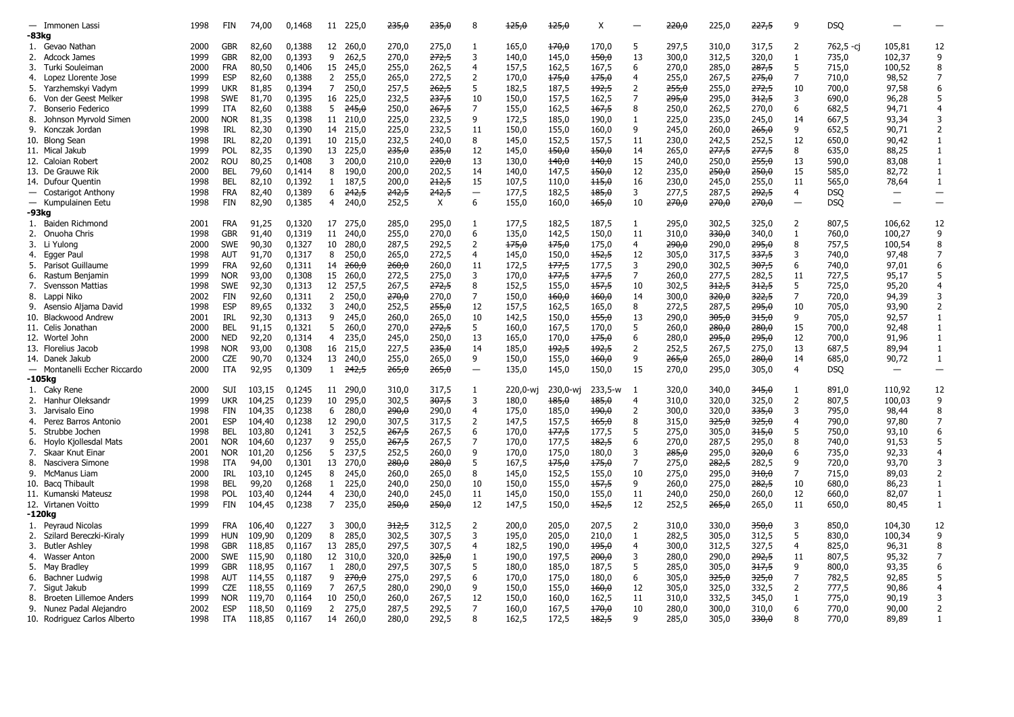|    | - Immonen Lassi              | 1998 | FIN        | 74,00  | 0,1468 | 11 225,0                | 235,0 | 235,0        | 8                        | 125,0    | 125,0    | Χ       |                | 220,0 | 225,0 | 227,5            | 9                        | <b>DSQ</b> |                          |                          |
|----|------------------------------|------|------------|--------|--------|-------------------------|-------|--------------|--------------------------|----------|----------|---------|----------------|-------|-------|------------------|--------------------------|------------|--------------------------|--------------------------|
|    | -83kg                        |      |            |        |        |                         |       |              |                          |          |          |         |                |       |       |                  |                          |            |                          |                          |
|    | 1. Gevao Nathan              | 2000 | <b>GBR</b> | 82,60  | 0,1388 | 12 260,0                | 270,0 | 275,0        | 1                        | 165,0    | 170,0    | 170,0   | 5              | 297,5 | 310,0 | 317,5            | 2                        | 762,5 -cj  | 105,81                   | 12                       |
|    | 2. Adcock James              | 1999 | <b>GBR</b> | 82,00  | 0,1393 | 9<br>262,5              | 270,0 | 272,5        | 3                        | 140,0    | 145,0    | 450,0   | 13             | 300,0 | 312,5 | 320,0            | $\mathbf{1}$             | 735,0      | 102,37                   | 9                        |
|    |                              | 2000 | <b>FRA</b> |        | 0,1406 | 245,0                   | 255,0 |              | $\overline{4}$           |          |          | 167.5   | 6              |       |       |                  | 5                        |            |                          | 8                        |
| 3. | Turki Souleiman              |      | <b>ESP</b> | 80,50  |        | 15                      |       | 262,5        |                          | 157,5    | 162,5    |         | $\overline{4}$ | 270,0 | 285,0 | 287,5            | $\overline{7}$           | 715,0      | 100,52                   |                          |
|    | 4. Lopez Llorente Jose       | 1999 |            | 82,60  | 0,1388 | 2<br>255,0              | 265,0 | 272,5        | $\overline{2}$           | 170,0    | 175,0    | 175,0   |                | 255,0 | 267,5 | 275,0            |                          | 710,0      | 98,52                    | $\overline{7}$           |
| 5. | Yarzhemskyi Vadym            | 1999 | <b>UKR</b> | 81,85  | 0,1394 | 250,0<br>7              | 257,5 | 262,5        | 5                        | 182,5    | 187,5    | 192,5   | 2              | 255,0 | 255,0 | 272,5            | 10                       | 700,0      | 97,58                    | 6                        |
| 6. | Von der Geest Melker         | 1998 | <b>SWE</b> | 81,70  | 0,1395 | 16<br>225,0             | 232,5 | 237,5        | 10                       | 150,0    | 157,5    | 162,5   | $\overline{7}$ | 295,0 | 295,0 | 312,5            | 3                        | 690,0      | 96,28                    | 5                        |
| 7. | Bonserio Federico            | 1999 | <b>ITA</b> | 82,60  | 0,1388 | 5<br><del>245,0</del>   | 250,0 | 267,5        | $\overline{7}$           | 155,0    | 162,5    | 167,5   | 8              | 250,0 | 262,5 | 270,0            | 6                        | 682,5      | 94,71                    | 4                        |
| 8. | Johnson Myrvold Simen        | 2000 | <b>NOR</b> | 81,35  | 0,1398 | 11 210,0                | 225,0 | 232,5        | 9                        | 172,5    | 185,0    | 190,0   | 1              | 225,0 | 235,0 | 245,0            | 14                       | 667,5      | 93,34                    | 3                        |
|    | 9. Konczak Jordan            | 1998 | <b>IRL</b> | 82,30  | 0,1390 | 14 215.0                | 225.0 | 232,5        | 11                       | 150.0    | 155,0    | 160.0   | 9              | 245.0 | 260.0 | 265,0            | 9                        | 652,5      | 90,71                    | $\overline{2}$           |
|    | 10. Blong Sean               | 1998 | IRL        | 82,20  | 0,1391 | 10<br>215,0             | 232,5 | 240,0        | 8                        | 145,0    | 152,5    | 157,5   | 11             | 230,0 | 242,5 | 252,5            | 12                       | 650,0      | 90,42                    | $\mathbf{1}$             |
|    | 11. Mical Jakub              | 1999 | POL        | 82,35  | 0,1390 | 13 225,0                | 235,0 | 235,0        | 12                       | 145,0    | 150,0    | 150,0   | 14             | 265,0 | 277,5 | 277,5            | 8                        | 635,0      | 88,25                    | $\mathbf{1}$             |
|    | 12. Caloian Robert           | 2002 | <b>ROU</b> | 80,25  | 0,1408 | 3<br>200,0              | 210,0 | 220,0        | 13                       | 130,0    | 140,0    | 140,0   | 15             | 240,0 | 250,0 | <del>255,0</del> | 13                       | 590,0      | 83,08                    | $\mathbf{1}$             |
|    | 13. De Grauwe Rik            | 2000 | <b>BEL</b> | 79,60  | 0,1414 | 8<br>190,0              | 200,0 | 202,5        | 14                       | 140,0    | 147,5    | 150,0   | 12             | 235,0 | 250,0 | <del>250,0</del> | 15                       | 585,0      | 82,72                    | $\mathbf{1}$             |
|    | 14. Dufour Quentin           | 1998 | <b>BEL</b> | 82,10  | 0,1392 | 187,5<br>1              | 200,0 | 212,5        | 15                       | 107,5    | 110,0    | 115,0   | 16             | 230,0 | 245,0 | 255,0            | 11                       | 565,0      | 78,64                    | $\mathbf{1}$             |
|    | - Costarigot Anthony         | 1998 | <b>FRA</b> | 82,40  | 0,1389 | 6<br>242,5              | 242,5 | 242,5        | $\qquad \qquad -$        | 177,5    | 182,5    | 185,0   | 3              | 277,5 | 287,5 | 292,5            | 4                        | <b>DSO</b> | $\overline{\phantom{0}}$ | $\overline{\phantom{m}}$ |
|    | - Kumpulainen Eetu           | 1998 | FIN        | 82,90  | 0,1385 | 4<br>240,0              | 252,5 | $\mathsf{X}$ | 6                        | 155,0    | 160,0    | 165,0   | 10             | 270,0 | 270,0 | <del>270,0</del> | $\overline{\phantom{0}}$ | <b>DSQ</b> |                          | $\overline{\phantom{m}}$ |
|    | -93kg                        |      |            |        |        |                         |       |              |                          |          |          |         |                |       |       |                  |                          |            |                          |                          |
|    | 1. Baiden Richmond           | 2001 | <b>FRA</b> | 91,25  | 0,1320 | 17 275,0                | 285,0 | 295,0        | 1                        | 177,5    | 182,5    | 187,5   | 1              | 295,0 | 302,5 | 325,0            | $\overline{2}$           | 807,5      | 106,62                   | 12                       |
| 2. | Onuoha Chris                 | 1998 | <b>GBR</b> | 91,40  | 0,1319 | 11 240.0                | 255,0 | 270,0        | 6                        | 135,0    | 142,5    | 150,0   | 11             | 310,0 | 330,0 | 340,0            | 1                        | 760,0      | 100,27                   | 9                        |
| 3. | Li Yulong                    | 2000 | <b>SWE</b> | 90,30  | 0,1327 | 10<br>280,0             | 287,5 | 292,5        | 2                        | 175,0    | 175,0    | 175,0   | 4              | 290,0 | 290,0 | <del>295,0</del> | 8                        | 757,5      | 100,54                   | 8                        |
| 4. |                              | 1998 | <b>AUT</b> | 91,70  | 0,1317 | 250,0                   |       | 272,5        | 4                        |          |          | 152,5   | 12             | 305,0 | 317,5 | 337,5            | 3                        | 740,0      | 97,48                    | $\overline{7}$           |
|    | Egger Paul                   |      |            |        |        | 8                       | 265,0 |              |                          | 145,0    | 150,0    |         |                |       |       |                  |                          |            |                          |                          |
| 5. | Parisot Guillaume            | 1999 | <b>FRA</b> | 92,60  | 0,1311 | <del>260,0</del><br>14  | 260,0 | 260,0        | 11                       | 172,5    | 177,5    | 177,5   | 3              | 290,0 | 302,5 | 307,5            | 6                        | 740,0      | 97,01                    | 6                        |
| 6. | Rastum Benjamin              | 1999 | <b>NOR</b> | 93,00  | 0,1308 | 15<br>260,0             | 272,5 | 275,0        | 3                        | 170,0    | 177,5    | 177,5   | $\overline{7}$ | 260,0 | 277,5 | 282,5            | 11                       | 727,5      | 95,17                    | 5                        |
| 7. | Svensson Mattias             | 1998 | <b>SWE</b> | 92,30  | 0,1313 | 12<br>257,5             | 267,5 | 272,5        | 8                        | 152,5    | 155,0    | 157,5   | 10             | 302,5 | 312,5 | <del>312,5</del> | 5                        | 725,0      | 95,20                    | 4                        |
| 8. | Lappi Niko                   | 2002 | FIN        | 92,60  | 0,1311 | 2<br>250,0              | 270,0 | 270,0        | $\overline{7}$           | 150,0    | 160,0    | 160,0   | 14             | 300,0 | 320,0 | 322,5            | $\overline{7}$           | 720,0      | 94,39                    | 3                        |
| 9. | Asensio Aljama David         | 1998 | <b>ESP</b> | 89.65  | 0,1332 | 3<br>240.0              | 252,5 | 255,0        | 12                       | 157,5    | 162,5    | 165,0   | 8              | 272,5 | 287,5 | <del>295.0</del> | 10                       | 705,0      | 93,90                    | 2                        |
|    | 10. Blackwood Andrew         | 2001 | <b>IRL</b> | 92,30  | 0,1313 | 9<br>245,0              | 260,0 | 265,0        | 10                       | 142,5    | 150,0    | 155,0   | 13             | 290,0 | 305,0 | 315,0            | 9                        | 705,0      | 92,57                    | $\mathbf{1}$             |
|    | 11. Celis Jonathan           | 2000 | <b>BEL</b> | 91.15  | 0,1321 | 5<br>260.0              | 270.0 | 272,5        | 5                        | 160.0    | 167,5    | 170.0   | 5              | 260.0 | 280.0 | 280.0            | 15                       | 700,0      | 92,48                    | $\mathbf{1}$             |
|    | 12. Wortel John              | 2000 | <b>NED</b> | 92,20  | 0,1314 | 235,0<br>4              | 245,0 | 250,0        | 13                       | 165,0    | 170,0    | 175,0   | 6              | 280,0 | 295,0 | 295,0            | 12                       | 700,0      | 91,96                    | $\mathbf{1}$             |
|    | 13. Florelius Jacob          | 1998 | <b>NOR</b> | 93,00  | 0,1308 | 16<br>215,0             | 227,5 | 235,0        | 14                       | 185,0    | 192,5    | 192,5   | 2              | 252,5 | 267,5 | 275,0            | 13                       | 687,5      | 89,94                    | $\mathbf{1}$             |
|    | 14. Danek Jakub              | 2000 | <b>CZE</b> | 90,70  | 0,1324 | 13<br>240,0             | 255,0 | 265,0        | 9                        | 150,0    | 155,0    | 160,0   | 9              | 265,0 | 265,0 | <del>280,0</del> | 14                       | 685,0      | 90,72                    | $\mathbf{1}$             |
|    | - Montanelli Eccher Riccardo | 2000 | ITA        | 92,95  | 0,1309 | $1 \t242,5$             | 265,0 | 265,0        | $\overline{\phantom{0}}$ | 135,0    | 145,0    | 150,0   | 15             | 270,0 | 295,0 | 305,0            | $\overline{4}$           | <b>DSQ</b> |                          | $\equiv$                 |
|    | -105kg                       |      |            |        |        |                         |       |              |                          |          |          |         |                |       |       |                  |                          |            |                          |                          |
|    | 1. Caky Rene                 | 2000 | SUI        | 103,15 | 0,1245 | 11 290,0                | 310,0 | 317,5        | 1                        | 220,0-wi | 230,0-wj | 233,5-w | -1             | 320,0 | 340,0 | <del>345,0</del> | 1                        | 891,0      | 110,92                   | 12                       |
|    | 2. Hanhur Oleksandr          | 1999 | <b>UKR</b> | 104,25 | 0,1239 | 10<br>295.0             | 302,5 | 307,5        | 3                        | 180.0    | 185,0    | 185,0   | $\overline{4}$ | 310,0 | 320,0 | 325,0            | $\overline{2}$           | 807,5      | 100,03                   | 9                        |
| 3. | Jarvisalo Eino               | 1998 | FIN        | 104,35 | 0,1238 | 280,0<br>6              | 290,0 | 290,0        | 4                        | 175,0    | 185,0    | 490,0   | $\overline{2}$ | 300,0 | 320,0 | <del>335,0</del> | 3                        | 795,0      | 98,44                    | 8                        |
| 4. | Perez Barros Antonio         | 2001 | <b>ESP</b> | 104,40 | 0,1238 | 12<br>290,0             | 307,5 | 317,5        | $\overline{2}$           | 147,5    | 157,5    | 165,0   | 8              | 315,0 | 325,0 | 325,0            | $\overline{4}$           | 790,0      | 97,80                    | $\overline{7}$           |
| 5. | Strubbe Jochen               | 1998 | <b>BEL</b> | 103,80 | 0,1241 | 3<br>252,5              | 267,5 | 267,5        | 6                        | 170,0    | 177,5    | 177,5   | 5              | 275,0 | 305,0 | 315,0            | 5                        | 750,0      | 93,10                    | 6                        |
| 6. | Hoylo Kjollesdal Mats        | 2001 | <b>NOR</b> | 104,60 | 0,1237 | 9<br>255,0              | 267,5 | 267,5        | $\overline{7}$           | 170,0    | 177,5    | 182,5   | 6              | 270,0 | 287,5 | 295,0            | 8                        | 740,0      | 91,53                    | 5                        |
| 7. | Skaar Knut Einar             | 2001 | <b>NOR</b> | 101,20 | 0,1256 | 5<br>237.5              | 252,5 | 260,0        | 9                        | 170.0    | 175,0    | 180.0   | 3              | 285.0 | 295,0 | <del>320,0</del> | 6                        | 735,0      | 92,33                    | $\overline{4}$           |
| 8. | Nascivera Simone             | 1998 | <b>ITA</b> | 94,00  | 0,1301 | 13<br>270,0             | 280,0 | 280,0        | 5                        | 167,5    | 175,0    | 175,0   | 7              | 275,0 | 282,5 | 282,5            | 9                        | 720,0      | 93,70                    | 3                        |
| 9. | McManus Liam                 | 2000 | IRL        | 103,10 | 0,1245 | 8<br>245,0              | 260,0 | 265,0        | 8                        | 145,0    | 152,5    | 155,0   | 10             | 275,0 | 295,0 | <del>310,0</del> | $\overline{7}$           | 715,0      | 89.03                    | 2                        |
|    | 10. Bacg Thibault            | 1998 | BEL        | 99,20  | 0,1268 | 225,0<br>$\mathbf{1}$   | 240,0 | 250,0        | 10                       | 150,0    | 155,0    | 157,5   | 9              | 260,0 | 275,0 | <del>282,5</del> | 10                       | 680,0      | 86,23                    | $\mathbf{1}$             |
|    | 11. Kumanski Mateusz         | 1998 | POL        | 103,40 | 0,1244 | $\overline{4}$<br>230,0 | 240,0 | 245,0        | 11                       |          | 150,0    | 155,0   | 11             | 240,0 | 250,0 |                  | 12                       |            | 82,07                    | $\mathbf{1}$             |
|    |                              |      |            |        |        |                         |       |              |                          | 145,0    |          |         |                |       |       | 260,0            |                          | 660,0      |                          |                          |
|    | 12. Virtanen Voitto          | 1999 | FIN        | 104,45 | 0,1238 | 7<br>235,0              | 250,0 | 250,0        | 12                       | 147,5    | 150,0    | 152,5   | 12             | 252,5 | 265,0 | 265,0            | 11                       | 650,0      | 80,45                    | $\mathbf{1}$             |
|    | -120kg                       |      |            |        |        |                         |       |              |                          |          |          |         |                |       |       |                  |                          |            |                          |                          |
|    | 1. Peyraud Nicolas           | 1999 | <b>FRA</b> | 106,40 | 0.1227 | 3<br>300.0              | 312.5 | 312,5        | 2                        | 200,0    | 205,0    | 207.5   | 2              | 310,0 | 330.0 | <del>350,0</del> | 3                        | 850.0      | 104,30                   | 12                       |
| 2. | Szilard Bereczki-Kiraly      | 1999 | HUN        | 109,90 | 0,1209 | 8<br>285,0              | 302,5 | 307,5        | 3                        | 195,0    | 205,0    | 210,0   | 1              | 282,5 | 305,0 | 312,5            | 5                        | 830,0      | 100,34                   | 9                        |
|    | 3. Butler Ashley             | 1998 | <b>GBR</b> | 118,85 | 0,1167 | 13 285,0                | 297,5 | 307,5        | $\overline{4}$           | 182,5    | 190,0    | 195,0   | $\overline{4}$ | 300,0 | 312,5 | 327,5            | $\overline{4}$           | 825,0      | 96,31                    | 8                        |
| 4. | Wasser Anton                 | 2000 | SWE        | 115,90 | 0,1180 | 12<br>310,0             | 320,0 | 325,0        | 1                        | 190,0    | 197,5    | 200,0   | 3              | 280,0 | 290,0 | 292,5            | 11                       | 807,5      | 95,32                    | $\overline{7}$           |
| 5. | May Bradley                  | 1999 | <b>GBR</b> | 118,95 | 0,1167 | $\mathbf{1}$<br>280,0   | 297,5 | 307,5        | 5                        | 180,0    | 185,0    | 187,5   | 5              | 285,0 | 305,0 | 317,5            | 9                        | 800,0      | 93,35                    | 6                        |
| 6. | Bachner Ludwig               | 1998 | <b>AUT</b> | 114,55 | 0,1187 | 9<br>270,0              | 275,0 | 297,5        | 6                        | 170,0    | 175,0    | 180,0   | 6              | 305,0 | 325,0 | 325,0            | $\overline{7}$           | 782,5      | 92,85                    | 5                        |
| 7. | Sigut Jakub                  | 1999 | <b>CZE</b> | 118,55 | 0,1169 | 7<br>267,5              | 280,0 | 290,0        | 9                        | 150,0    | 155,0    | 160,0   | 12             | 305,0 | 325,0 | 332,5            | $\overline{2}$           | 777,5      | 90,86                    | 4                        |
| 8. | Broeten Lillemoe Anders      | 1999 | <b>NOR</b> | 119,70 | 0,1164 | 10<br>250.0             | 260,0 | 267,5        | 12                       | 150.0    | 160,0    | 162,5   | 11             | 310.0 | 332,5 | 345,0            | 1                        | 775,0      | 90,19                    | 3                        |
|    | 9. Nunez Padal Alejandro     | 2002 | <b>ESP</b> | 118,50 | 0,1169 | 2<br>275,0              | 287,5 | 292,5        | $\overline{7}$           | 160,0    | 167,5    | 170,0   | 10             | 280,0 | 300,0 | 310,0            | 6                        | 770,0      | 90,00                    | $\mathcal{P}$            |
|    | 10. Rodriguez Carlos Alberto | 1998 | ITA        | 118,85 | 0,1167 | 14<br>260.0             | 280.0 | 292,5        | 8                        | 162,5    | 172,5    | 182,5   | 9              | 285.0 | 305,0 | 330,0            | 8                        | 770.0      | 89.89                    |                          |